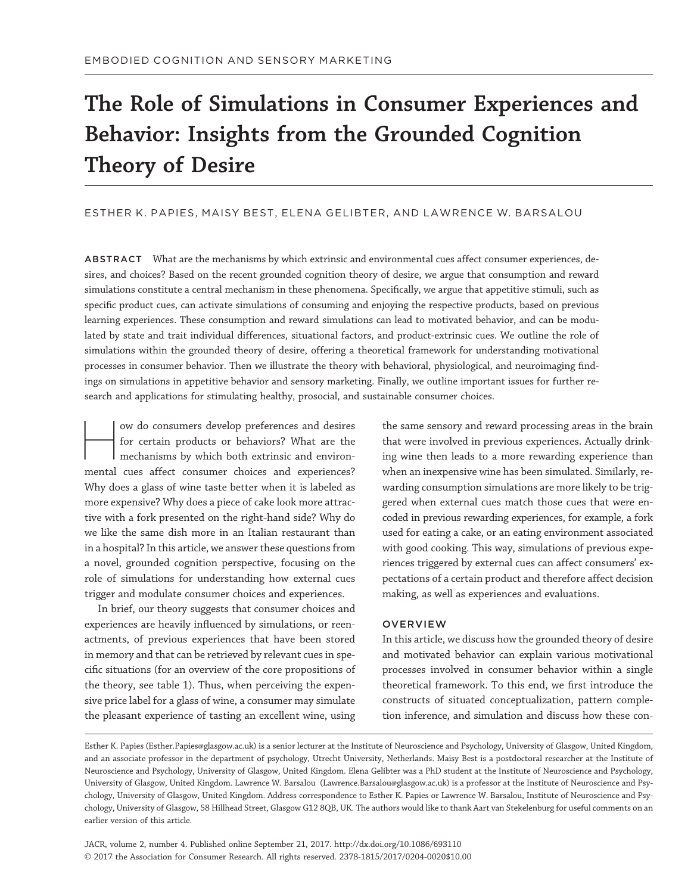# The Role of Simulations in Consumer Experiences and Behavior: Insights from the Grounded Cognition Theory of Desire

# ESTHER K. PAPIES, MAISY BEST, ELENA GELIBTER, AND LAWRENCE W. BARSALOU

ABSTRACT What are the mechanisms by which extrinsic and environmental cues affect consumer experiences, desires, and choices? Based on the recent grounded cognition theory of desire, we argue that consumption and reward simulations constitute a central mechanism in these phenomena. Specifically, we argue that appetitive stimuli, such as specific product cues, can activate simulations of consuming and enjoying the respective products, based on previous learning experiences. These consumption and reward simulations can lead to motivated behavior, and can be modulated by state and trait individual differences, situational factors, and product-extrinsic cues. We outline the role of simulations within the grounded theory of desire, offering a theoretical framework for understanding motivational processes in consumer behavior. Then we illustrate the theory with behavioral, physiological, and neuroimaging findings on simulations in appetitive behavior and sensory marketing. Finally, we outline important issues for further research and applications for stimulating healthy, prosocial, and sustainable consumer choices.

we do consumers develop preferences and desires<br>for certain products or behaviors? What are the<br>mechanisms by which both extrinsic and environfor certain products or behaviors? What are the mechanisms by which both extrinsic and environmental cues affect consumer choices and experiences? Why does a glass of wine taste better when it is labeled as more expensive? Why does a piece of cake look more attractive with a fork presented on the right-hand side? Why do we like the same dish more in an Italian restaurant than in a hospital? In this article, we answer these questions from a novel, grounded cognition perspective, focusing on the role of simulations for understanding how external cues trigger and modulate consumer choices and experiences.

In brief, our theory suggests that consumer choices and experiences are heavily influenced by simulations, or reenactments, of previous experiences that have been stored in memory and that can be retrieved by relevant cues in specific situations (for an overview of the core propositions of the theory, see table 1). Thus, when perceiving the expensive price label for a glass of wine, a consumer may simulate the pleasant experience of tasting an excellent wine, using

the same sensory and reward processing areas in the brain that were involved in previous experiences. Actually drinking wine then leads to a more rewarding experience than when an inexpensive wine has been simulated. Similarly, rewarding consumption simulations are more likely to be triggered when external cues match those cues that were encoded in previous rewarding experiences, for example, a fork used for eating a cake, or an eating environment associated with good cooking. This way, simulations of previous experiences triggered by external cues can affect consumers' expectations of a certain product and therefore affect decision making, as well as experiences and evaluations.

### OVERVIEW

In this article, we discuss how the grounded theory of desire and motivated behavior can explain various motivational processes involved in consumer behavior within a single theoretical framework. To this end, we first introduce the constructs of situated conceptualization, pattern completion inference, and simulation and discuss how these con-

Esther K. Papies (Esther.Papies@glasgow.ac.uk) is a senior lecturer at the Institute of Neuroscience and Psychology, University of Glasgow, United Kingdom, and an associate professor in the department of psychology, Utrecht University, Netherlands. Maisy Best is a postdoctoral researcher at the Institute of Neuroscience and Psychology, University of Glasgow, United Kingdom. Elena Gelibter was a PhD student at the Institute of Neuroscience and Psychology, University of Glasgow, United Kingdom. Lawrence W. Barsalou (Lawrence.Barsalou@glasgow.ac.uk) is a professor at the Institute of Neuroscience and Psychology, University of Glasgow, United Kingdom. Address correspondence to Esther K. Papies or Lawrence W. Barsalou, Institute of Neuroscience and Psychology, University of Glasgow, 58 Hillhead Street, Glasgow G12 8QB, UK. The authors would like to thank Aart van Stekelenburg for useful comments on an earlier version of this article.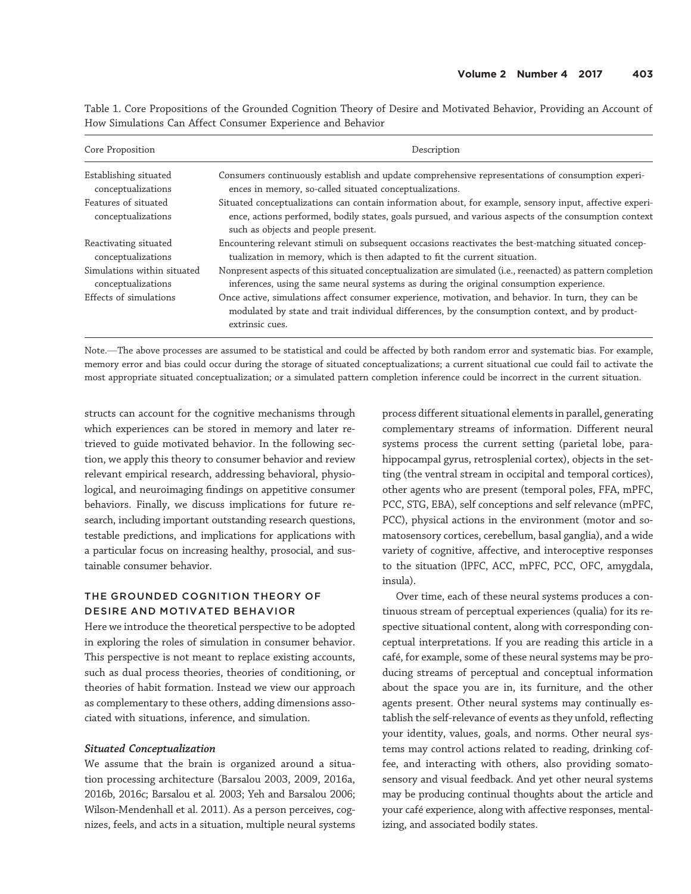| Core Proposition                           | Description                                                                                                                                                                                                                                              |
|--------------------------------------------|----------------------------------------------------------------------------------------------------------------------------------------------------------------------------------------------------------------------------------------------------------|
| Establishing situated                      | Consumers continuously establish and update comprehensive representations of consumption experi-                                                                                                                                                         |
| conceptualizations                         | ences in memory, so-called situated conceptualizations.                                                                                                                                                                                                  |
| Features of situated<br>conceptualizations | Situated conceptualizations can contain information about, for example, sensory input, affective experi-<br>ence, actions performed, bodily states, goals pursued, and various aspects of the consumption context<br>such as objects and people present. |
| Reactivating situated                      | Encountering relevant stimuli on subsequent occasions reactivates the best-matching situated concep-                                                                                                                                                     |
| conceptualizations                         | tualization in memory, which is then adapted to fit the current situation.                                                                                                                                                                               |
| Simulations within situated                | Nonpresent aspects of this situated conceptualization are simulated (i.e., reenacted) as pattern completion                                                                                                                                              |
| conceptualizations                         | inferences, using the same neural systems as during the original consumption experience.                                                                                                                                                                 |
| Effects of simulations                     | Once active, simulations affect consumer experience, motivation, and behavior. In turn, they can be<br>modulated by state and trait individual differences, by the consumption context, and by product-<br>extrinsic cues.                               |

Table 1. Core Propositions of the Grounded Cognition Theory of Desire and Motivated Behavior, Providing an Account of How Simulations Can Affect Consumer Experience and Behavior

Note.—The above processes are assumed to be statistical and could be affected by both random error and systematic bias. For example, memory error and bias could occur during the storage of situated conceptualizations; a current situational cue could fail to activate the most appropriate situated conceptualization; or a simulated pattern completion inference could be incorrect in the current situation.

structs can account for the cognitive mechanisms through which experiences can be stored in memory and later retrieved to guide motivated behavior. In the following section, we apply this theory to consumer behavior and review relevant empirical research, addressing behavioral, physiological, and neuroimaging findings on appetitive consumer behaviors. Finally, we discuss implications for future research, including important outstanding research questions, testable predictions, and implications for applications with a particular focus on increasing healthy, prosocial, and sustainable consumer behavior.

# THE GROUNDED COGNITION THEORY OF DESIRE AND MOTIVATED BEHAVIOR

Here we introduce the theoretical perspective to be adopted in exploring the roles of simulation in consumer behavior. This perspective is not meant to replace existing accounts, such as dual process theories, theories of conditioning, or theories of habit formation. Instead we view our approach as complementary to these others, adding dimensions associated with situations, inference, and simulation.

### Situated Conceptualization

We assume that the brain is organized around a situation processing architecture (Barsalou 2003, 2009, 2016a, 2016b, 2016c; Barsalou et al. 2003; Yeh and Barsalou 2006; Wilson-Mendenhall et al. 2011). As a person perceives, cognizes, feels, and acts in a situation, multiple neural systems

process different situational elements in parallel, generating complementary streams of information. Different neural systems process the current setting (parietal lobe, parahippocampal gyrus, retrosplenial cortex), objects in the setting (the ventral stream in occipital and temporal cortices), other agents who are present (temporal poles, FFA, mPFC, PCC, STG, EBA), self conceptions and self relevance (mPFC, PCC), physical actions in the environment (motor and somatosensory cortices, cerebellum, basal ganglia), and a wide variety of cognitive, affective, and interoceptive responses to the situation (lPFC, ACC, mPFC, PCC, OFC, amygdala, insula).

Over time, each of these neural systems produces a continuous stream of perceptual experiences (qualia) for its respective situational content, along with corresponding conceptual interpretations. If you are reading this article in a café, for example, some of these neural systems may be producing streams of perceptual and conceptual information about the space you are in, its furniture, and the other agents present. Other neural systems may continually establish the self-relevance of events as they unfold, reflecting your identity, values, goals, and norms. Other neural systems may control actions related to reading, drinking coffee, and interacting with others, also providing somatosensory and visual feedback. And yet other neural systems may be producing continual thoughts about the article and your café experience, along with affective responses, mentalizing, and associated bodily states.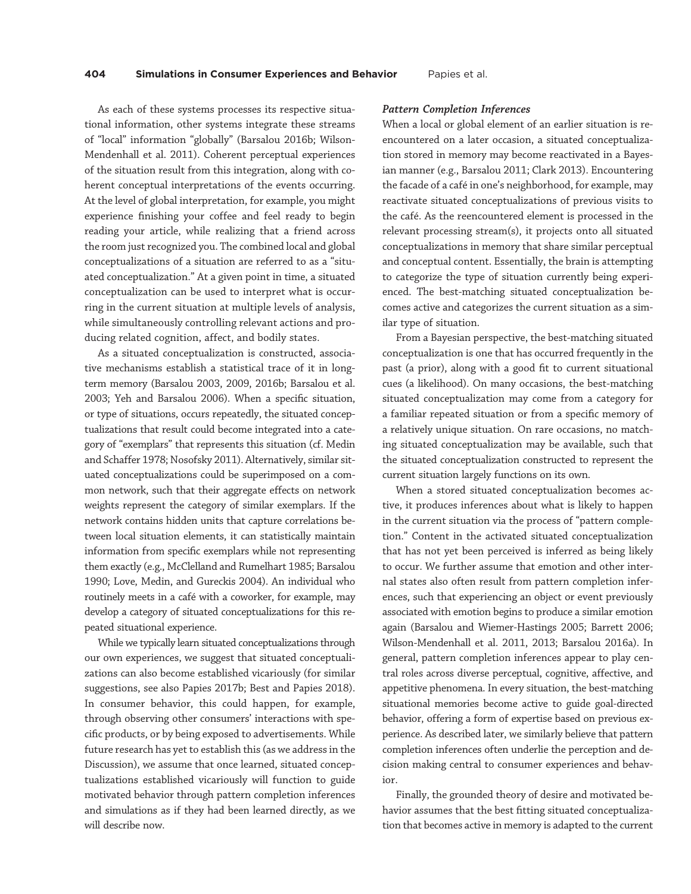As each of these systems processes its respective situational information, other systems integrate these streams of "local" information "globally" (Barsalou 2016b; Wilson-Mendenhall et al. 2011). Coherent perceptual experiences of the situation result from this integration, along with coherent conceptual interpretations of the events occurring. At the level of global interpretation, for example, you might experience finishing your coffee and feel ready to begin reading your article, while realizing that a friend across the room just recognized you. The combined local and global conceptualizations of a situation are referred to as a "situated conceptualization." At a given point in time, a situated conceptualization can be used to interpret what is occurring in the current situation at multiple levels of analysis, while simultaneously controlling relevant actions and producing related cognition, affect, and bodily states.

As a situated conceptualization is constructed, associative mechanisms establish a statistical trace of it in longterm memory (Barsalou 2003, 2009, 2016b; Barsalou et al. 2003; Yeh and Barsalou 2006). When a specific situation, or type of situations, occurs repeatedly, the situated conceptualizations that result could become integrated into a category of "exemplars" that represents this situation (cf. Medin and Schaffer 1978; Nosofsky 2011). Alternatively, similar situated conceptualizations could be superimposed on a common network, such that their aggregate effects on network weights represent the category of similar exemplars. If the network contains hidden units that capture correlations between local situation elements, it can statistically maintain information from specific exemplars while not representing them exactly (e.g., McClelland and Rumelhart 1985; Barsalou 1990; Love, Medin, and Gureckis 2004). An individual who routinely meets in a café with a coworker, for example, may develop a category of situated conceptualizations for this repeated situational experience.

While we typically learn situated conceptualizations through our own experiences, we suggest that situated conceptualizations can also become established vicariously (for similar suggestions, see also Papies 2017b; Best and Papies 2018). In consumer behavior, this could happen, for example, through observing other consumers' interactions with specific products, or by being exposed to advertisements. While future research has yet to establish this (as we address in the Discussion), we assume that once learned, situated conceptualizations established vicariously will function to guide motivated behavior through pattern completion inferences and simulations as if they had been learned directly, as we will describe now.

# Pattern Completion Inferences

When a local or global element of an earlier situation is reencountered on a later occasion, a situated conceptualization stored in memory may become reactivated in a Bayesian manner (e.g., Barsalou 2011; Clark 2013). Encountering the facade of a café in one's neighborhood, for example, may reactivate situated conceptualizations of previous visits to the café. As the reencountered element is processed in the relevant processing stream(s), it projects onto all situated conceptualizations in memory that share similar perceptual and conceptual content. Essentially, the brain is attempting to categorize the type of situation currently being experienced. The best-matching situated conceptualization becomes active and categorizes the current situation as a similar type of situation.

From a Bayesian perspective, the best-matching situated conceptualization is one that has occurred frequently in the past (a prior), along with a good fit to current situational cues (a likelihood). On many occasions, the best-matching situated conceptualization may come from a category for a familiar repeated situation or from a specific memory of a relatively unique situation. On rare occasions, no matching situated conceptualization may be available, such that the situated conceptualization constructed to represent the current situation largely functions on its own.

When a stored situated conceptualization becomes active, it produces inferences about what is likely to happen in the current situation via the process of "pattern completion." Content in the activated situated conceptualization that has not yet been perceived is inferred as being likely to occur. We further assume that emotion and other internal states also often result from pattern completion inferences, such that experiencing an object or event previously associated with emotion begins to produce a similar emotion again (Barsalou and Wiemer-Hastings 2005; Barrett 2006; Wilson-Mendenhall et al. 2011, 2013; Barsalou 2016a). In general, pattern completion inferences appear to play central roles across diverse perceptual, cognitive, affective, and appetitive phenomena. In every situation, the best-matching situational memories become active to guide goal-directed behavior, offering a form of expertise based on previous experience. As described later, we similarly believe that pattern completion inferences often underlie the perception and decision making central to consumer experiences and behavior.

Finally, the grounded theory of desire and motivated behavior assumes that the best fitting situated conceptualization that becomes active in memory is adapted to the current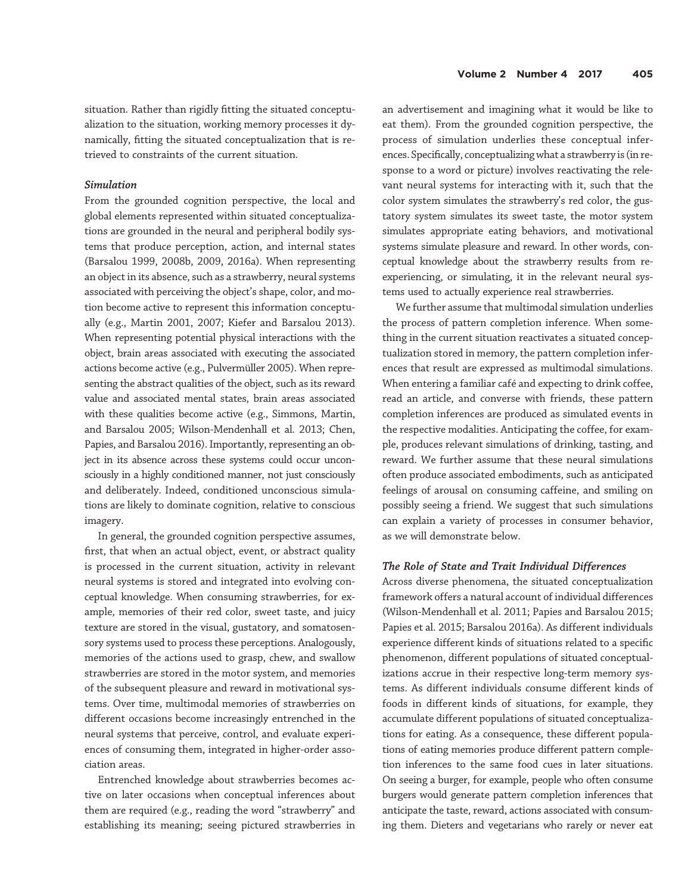situation. Rather than rigidly fitting the situated conceptualization to the situation, working memory processes it dynamically, fitting the situated conceptualization that is retrieved to constraints of the current situation.

# Simulation

From the grounded cognition perspective, the local and global elements represented within situated conceptualizations are grounded in the neural and peripheral bodily systems that produce perception, action, and internal states (Barsalou 1999, 2008b, 2009, 2016a). When representing an object in its absence, such as a strawberry, neural systems associated with perceiving the object's shape, color, and motion become active to represent this information conceptually (e.g., Martin 2001, 2007; Kiefer and Barsalou 2013). When representing potential physical interactions with the object, brain areas associated with executing the associated actions become active (e.g., Pulvermüller 2005). When representing the abstract qualities of the object, such as its reward value and associated mental states, brain areas associated with these qualities become active (e.g., Simmons, Martin, and Barsalou 2005; Wilson-Mendenhall et al. 2013; Chen, Papies, and Barsalou 2016). Importantly, representing an object in its absence across these systems could occur unconsciously in a highly conditioned manner, not just consciously and deliberately. Indeed, conditioned unconscious simulations are likely to dominate cognition, relative to conscious imagery.

In general, the grounded cognition perspective assumes, first, that when an actual object, event, or abstract quality is processed in the current situation, activity in relevant neural systems is stored and integrated into evolving conceptual knowledge. When consuming strawberries, for example, memories of their red color, sweet taste, and juicy texture are stored in the visual, gustatory, and somatosensory systems used to process these perceptions. Analogously, memories of the actions used to grasp, chew, and swallow strawberries are stored in the motor system, and memories of the subsequent pleasure and reward in motivational systems. Over time, multimodal memories of strawberries on different occasions become increasingly entrenched in the neural systems that perceive, control, and evaluate experiences of consuming them, integrated in higher-order association areas.

Entrenched knowledge about strawberries becomes active on later occasions when conceptual inferences about them are required (e.g., reading the word "strawberry" and establishing its meaning; seeing pictured strawberries in

an advertisement and imagining what it would be like to eat them). From the grounded cognition perspective, the process of simulation underlies these conceptual inferences. Specifically, conceptualizing what a strawberry is (in response to a word or picture) involves reactivating the relevant neural systems for interacting with it, such that the color system simulates the strawberry's red color, the gustatory system simulates its sweet taste, the motor system simulates appropriate eating behaviors, and motivational systems simulate pleasure and reward. In other words, conceptual knowledge about the strawberry results from reexperiencing, or simulating, it in the relevant neural systems used to actually experience real strawberries.

We further assume that multimodal simulation underlies the process of pattern completion inference. When something in the current situation reactivates a situated conceptualization stored in memory, the pattern completion inferences that result are expressed as multimodal simulations. When entering a familiar café and expecting to drink coffee, read an article, and converse with friends, these pattern completion inferences are produced as simulated events in the respective modalities. Anticipating the coffee, for example, produces relevant simulations of drinking, tasting, and reward. We further assume that these neural simulations often produce associated embodiments, such as anticipated feelings of arousal on consuming caffeine, and smiling on possibly seeing a friend. We suggest that such simulations can explain a variety of processes in consumer behavior, as we will demonstrate below.

# The Role of State and Trait Individual Differences

Across diverse phenomena, the situated conceptualization framework offers a natural account of individual differences (Wilson-Mendenhall et al. 2011; Papies and Barsalou 2015; Papies et al. 2015; Barsalou 2016a). As different individuals experience different kinds of situations related to a specific phenomenon, different populations of situated conceptualizations accrue in their respective long-term memory systems. As different individuals consume different kinds of foods in different kinds of situations, for example, they accumulate different populations of situated conceptualizations for eating. As a consequence, these different populations of eating memories produce different pattern completion inferences to the same food cues in later situations. On seeing a burger, for example, people who often consume burgers would generate pattern completion inferences that anticipate the taste, reward, actions associated with consuming them. Dieters and vegetarians who rarely or never eat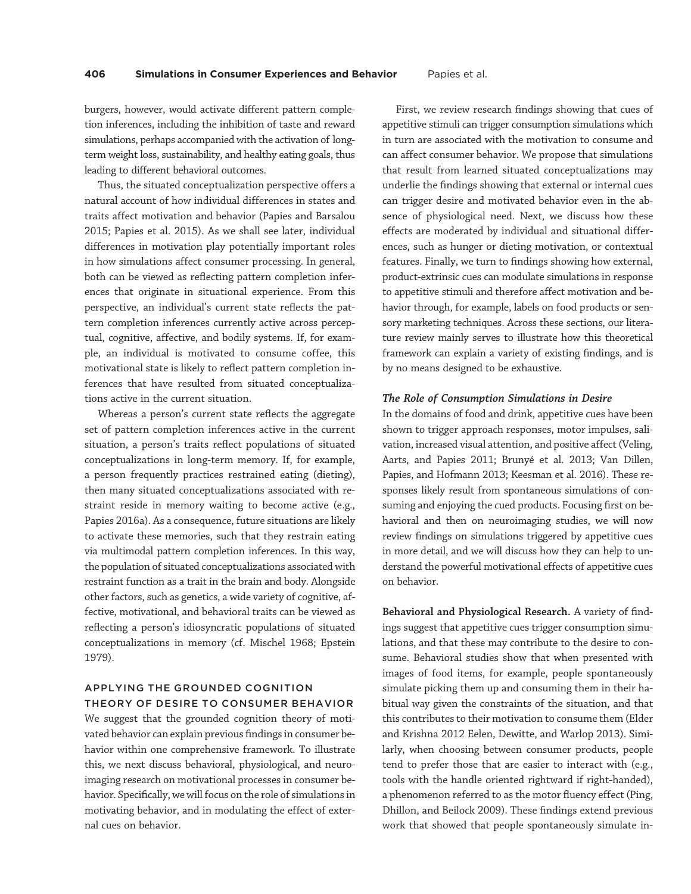burgers, however, would activate different pattern completion inferences, including the inhibition of taste and reward simulations, perhaps accompanied with the activation of longterm weight loss, sustainability, and healthy eating goals, thus leading to different behavioral outcomes.

Thus, the situated conceptualization perspective offers a natural account of how individual differences in states and traits affect motivation and behavior (Papies and Barsalou 2015; Papies et al. 2015). As we shall see later, individual differences in motivation play potentially important roles in how simulations affect consumer processing. In general, both can be viewed as reflecting pattern completion inferences that originate in situational experience. From this perspective, an individual's current state reflects the pattern completion inferences currently active across perceptual, cognitive, affective, and bodily systems. If, for example, an individual is motivated to consume coffee, this motivational state is likely to reflect pattern completion inferences that have resulted from situated conceptualizations active in the current situation.

Whereas a person's current state reflects the aggregate set of pattern completion inferences active in the current situation, a person's traits reflect populations of situated conceptualizations in long-term memory. If, for example, a person frequently practices restrained eating (dieting), then many situated conceptualizations associated with restraint reside in memory waiting to become active (e.g., Papies 2016a). As a consequence, future situations are likely to activate these memories, such that they restrain eating via multimodal pattern completion inferences. In this way, the population of situated conceptualizations associated with restraint function as a trait in the brain and body. Alongside other factors, such as genetics, a wide variety of cognitive, affective, motivational, and behavioral traits can be viewed as reflecting a person's idiosyncratic populations of situated conceptualizations in memory (cf. Mischel 1968; Epstein 1979).

# APPLYING THE GROUNDED COGNITION THEORY OF DESIRE TO CONSUMER BEHAVIOR

We suggest that the grounded cognition theory of motivated behavior can explain previous findings in consumer behavior within one comprehensive framework. To illustrate this, we next discuss behavioral, physiological, and neuroimaging research on motivational processes in consumer behavior. Specifically, we will focus on the role of simulations in motivating behavior, and in modulating the effect of external cues on behavior.

First, we review research findings showing that cues of appetitive stimuli can trigger consumption simulations which in turn are associated with the motivation to consume and can affect consumer behavior. We propose that simulations that result from learned situated conceptualizations may underlie the findings showing that external or internal cues can trigger desire and motivated behavior even in the absence of physiological need. Next, we discuss how these effects are moderated by individual and situational differences, such as hunger or dieting motivation, or contextual features. Finally, we turn to findings showing how external, product-extrinsic cues can modulate simulations in response to appetitive stimuli and therefore affect motivation and behavior through, for example, labels on food products or sensory marketing techniques. Across these sections, our literature review mainly serves to illustrate how this theoretical framework can explain a variety of existing findings, and is by no means designed to be exhaustive.

### The Role of Consumption Simulations in Desire

In the domains of food and drink, appetitive cues have been shown to trigger approach responses, motor impulses, salivation, increased visual attention, and positive affect (Veling, Aarts, and Papies 2011; Brunyé et al. 2013; Van Dillen, Papies, and Hofmann 2013; Keesman et al. 2016). These responses likely result from spontaneous simulations of consuming and enjoying the cued products. Focusing first on behavioral and then on neuroimaging studies, we will now review findings on simulations triggered by appetitive cues in more detail, and we will discuss how they can help to understand the powerful motivational effects of appetitive cues on behavior.

Behavioral and Physiological Research. A variety of findings suggest that appetitive cues trigger consumption simulations, and that these may contribute to the desire to consume. Behavioral studies show that when presented with images of food items, for example, people spontaneously simulate picking them up and consuming them in their habitual way given the constraints of the situation, and that this contributes to their motivation to consume them (Elder and Krishna 2012 Eelen, Dewitte, and Warlop 2013). Similarly, when choosing between consumer products, people tend to prefer those that are easier to interact with (e.g., tools with the handle oriented rightward if right-handed), a phenomenon referred to as the motor fluency effect (Ping, Dhillon, and Beilock 2009). These findings extend previous work that showed that people spontaneously simulate in-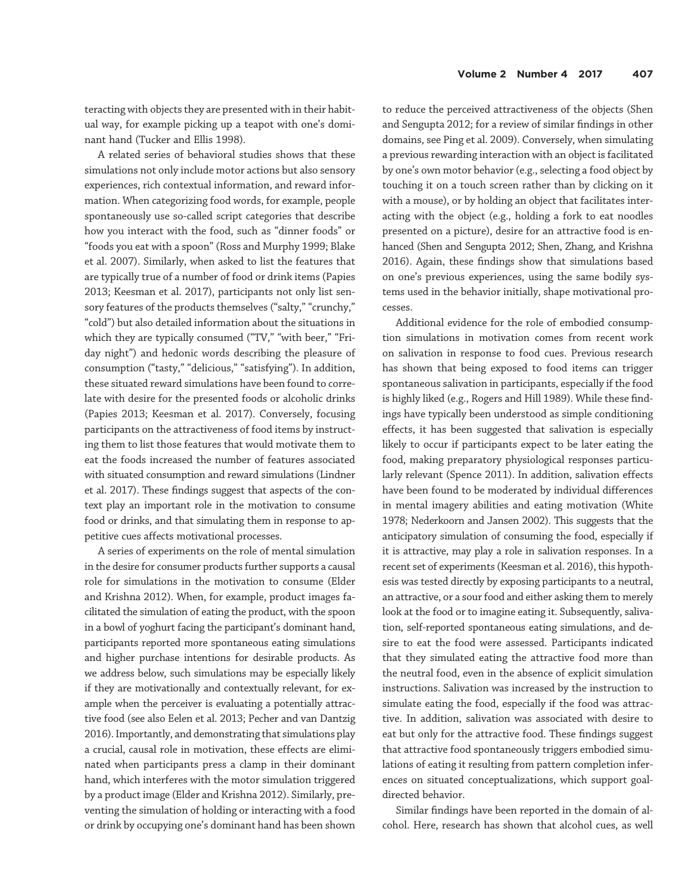teracting with objects they are presented with in their habitual way, for example picking up a teapot with one's dominant hand (Tucker and Ellis 1998).

A related series of behavioral studies shows that these simulations not only include motor actions but also sensory experiences, rich contextual information, and reward information. When categorizing food words, for example, people spontaneously use so-called script categories that describe how you interact with the food, such as "dinner foods" or "foods you eat with a spoon" (Ross and Murphy 1999; Blake et al. 2007). Similarly, when asked to list the features that are typically true of a number of food or drink items (Papies 2013; Keesman et al. 2017), participants not only list sensory features of the products themselves ("salty," "crunchy," "cold") but also detailed information about the situations in which they are typically consumed ("TV," "with beer," "Friday night") and hedonic words describing the pleasure of consumption ("tasty," "delicious," "satisfying"). In addition, these situated reward simulations have been found to correlate with desire for the presented foods or alcoholic drinks (Papies 2013; Keesman et al. 2017). Conversely, focusing participants on the attractiveness of food items by instructing them to list those features that would motivate them to eat the foods increased the number of features associated with situated consumption and reward simulations (Lindner et al. 2017). These findings suggest that aspects of the context play an important role in the motivation to consume food or drinks, and that simulating them in response to appetitive cues affects motivational processes.

A series of experiments on the role of mental simulation in the desire for consumer products further supports a causal role for simulations in the motivation to consume (Elder and Krishna 2012). When, for example, product images facilitated the simulation of eating the product, with the spoon in a bowl of yoghurt facing the participant's dominant hand, participants reported more spontaneous eating simulations and higher purchase intentions for desirable products. As we address below, such simulations may be especially likely if they are motivationally and contextually relevant, for example when the perceiver is evaluating a potentially attractive food (see also Eelen et al. 2013; Pecher and van Dantzig 2016). Importantly, and demonstrating that simulations play a crucial, causal role in motivation, these effects are eliminated when participants press a clamp in their dominant hand, which interferes with the motor simulation triggered by a product image (Elder and Krishna 2012). Similarly, preventing the simulation of holding or interacting with a food or drink by occupying one's dominant hand has been shown

to reduce the perceived attractiveness of the objects (Shen and Sengupta 2012; for a review of similar findings in other domains, see Ping et al. 2009). Conversely, when simulating a previous rewarding interaction with an object is facilitated by one's own motor behavior (e.g., selecting a food object by touching it on a touch screen rather than by clicking on it with a mouse), or by holding an object that facilitates interacting with the object (e.g., holding a fork to eat noodles presented on a picture), desire for an attractive food is enhanced (Shen and Sengupta 2012; Shen, Zhang, and Krishna 2016). Again, these findings show that simulations based on one's previous experiences, using the same bodily systems used in the behavior initially, shape motivational processes.

Additional evidence for the role of embodied consumption simulations in motivation comes from recent work on salivation in response to food cues. Previous research has shown that being exposed to food items can trigger spontaneous salivation in participants, especially if the food is highly liked (e.g., Rogers and Hill 1989). While these findings have typically been understood as simple conditioning effects, it has been suggested that salivation is especially likely to occur if participants expect to be later eating the food, making preparatory physiological responses particularly relevant (Spence 2011). In addition, salivation effects have been found to be moderated by individual differences in mental imagery abilities and eating motivation (White 1978; Nederkoorn and Jansen 2002). This suggests that the anticipatory simulation of consuming the food, especially if it is attractive, may play a role in salivation responses. In a recent set of experiments (Keesman et al. 2016), this hypothesis was tested directly by exposing participants to a neutral, an attractive, or a sour food and either asking them to merely look at the food or to imagine eating it. Subsequently, salivation, self-reported spontaneous eating simulations, and desire to eat the food were assessed. Participants indicated that they simulated eating the attractive food more than the neutral food, even in the absence of explicit simulation instructions. Salivation was increased by the instruction to simulate eating the food, especially if the food was attractive. In addition, salivation was associated with desire to eat but only for the attractive food. These findings suggest that attractive food spontaneously triggers embodied simulations of eating it resulting from pattern completion inferences on situated conceptualizations, which support goaldirected behavior.

Similar findings have been reported in the domain of alcohol. Here, research has shown that alcohol cues, as well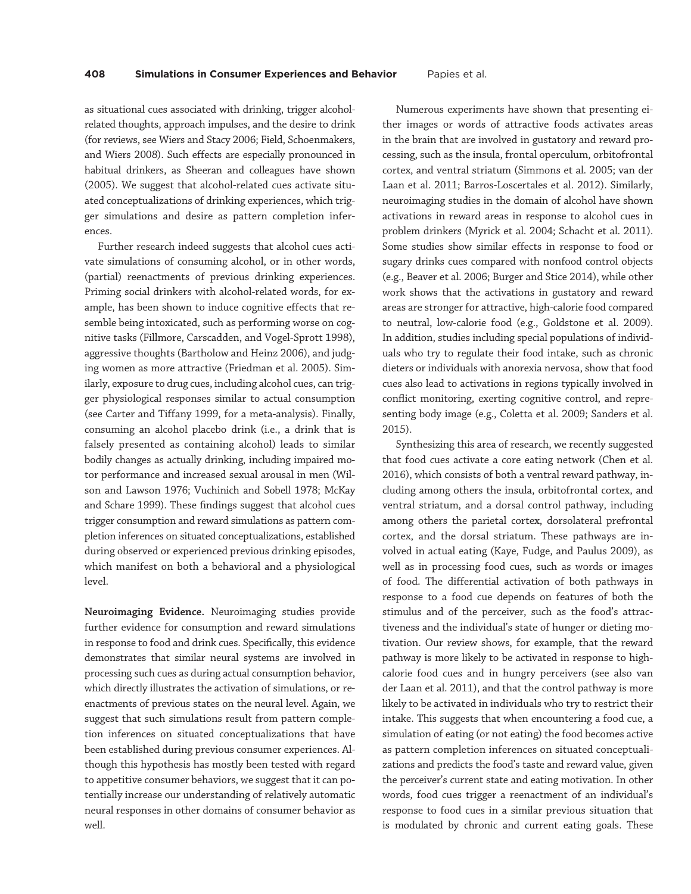as situational cues associated with drinking, trigger alcoholrelated thoughts, approach impulses, and the desire to drink (for reviews, see Wiers and Stacy 2006; Field, Schoenmakers, and Wiers 2008). Such effects are especially pronounced in habitual drinkers, as Sheeran and colleagues have shown (2005). We suggest that alcohol-related cues activate situated conceptualizations of drinking experiences, which trigger simulations and desire as pattern completion inferences.

Further research indeed suggests that alcohol cues activate simulations of consuming alcohol, or in other words, (partial) reenactments of previous drinking experiences. Priming social drinkers with alcohol-related words, for example, has been shown to induce cognitive effects that resemble being intoxicated, such as performing worse on cognitive tasks (Fillmore, Carscadden, and Vogel-Sprott 1998), aggressive thoughts (Bartholow and Heinz 2006), and judging women as more attractive (Friedman et al. 2005). Similarly, exposure to drug cues, including alcohol cues, can trigger physiological responses similar to actual consumption (see Carter and Tiffany 1999, for a meta-analysis). Finally, consuming an alcohol placebo drink (i.e., a drink that is falsely presented as containing alcohol) leads to similar bodily changes as actually drinking, including impaired motor performance and increased sexual arousal in men (Wilson and Lawson 1976; Vuchinich and Sobell 1978; McKay and Schare 1999). These findings suggest that alcohol cues trigger consumption and reward simulations as pattern completion inferences on situated conceptualizations, established during observed or experienced previous drinking episodes, which manifest on both a behavioral and a physiological level.

Neuroimaging Evidence. Neuroimaging studies provide further evidence for consumption and reward simulations in response to food and drink cues. Specifically, this evidence demonstrates that similar neural systems are involved in processing such cues as during actual consumption behavior, which directly illustrates the activation of simulations, or reenactments of previous states on the neural level. Again, we suggest that such simulations result from pattern completion inferences on situated conceptualizations that have been established during previous consumer experiences. Although this hypothesis has mostly been tested with regard to appetitive consumer behaviors, we suggest that it can potentially increase our understanding of relatively automatic neural responses in other domains of consumer behavior as well.

Numerous experiments have shown that presenting either images or words of attractive foods activates areas in the brain that are involved in gustatory and reward processing, such as the insula, frontal operculum, orbitofrontal cortex, and ventral striatum (Simmons et al. 2005; van der Laan et al. 2011; Barros-Loscertales et al. 2012). Similarly, neuroimaging studies in the domain of alcohol have shown activations in reward areas in response to alcohol cues in problem drinkers (Myrick et al. 2004; Schacht et al. 2011). Some studies show similar effects in response to food or sugary drinks cues compared with nonfood control objects (e.g., Beaver et al. 2006; Burger and Stice 2014), while other work shows that the activations in gustatory and reward areas are stronger for attractive, high-calorie food compared to neutral, low-calorie food (e.g., Goldstone et al. 2009). In addition, studies including special populations of individuals who try to regulate their food intake, such as chronic dieters or individuals with anorexia nervosa, show that food cues also lead to activations in regions typically involved in conflict monitoring, exerting cognitive control, and representing body image (e.g., Coletta et al. 2009; Sanders et al. 2015).

Synthesizing this area of research, we recently suggested that food cues activate a core eating network (Chen et al. 2016), which consists of both a ventral reward pathway, including among others the insula, orbitofrontal cortex, and ventral striatum, and a dorsal control pathway, including among others the parietal cortex, dorsolateral prefrontal cortex, and the dorsal striatum. These pathways are involved in actual eating (Kaye, Fudge, and Paulus 2009), as well as in processing food cues, such as words or images of food. The differential activation of both pathways in response to a food cue depends on features of both the stimulus and of the perceiver, such as the food's attractiveness and the individual's state of hunger or dieting motivation. Our review shows, for example, that the reward pathway is more likely to be activated in response to highcalorie food cues and in hungry perceivers (see also van der Laan et al. 2011), and that the control pathway is more likely to be activated in individuals who try to restrict their intake. This suggests that when encountering a food cue, a simulation of eating (or not eating) the food becomes active as pattern completion inferences on situated conceptualizations and predicts the food's taste and reward value, given the perceiver's current state and eating motivation. In other words, food cues trigger a reenactment of an individual's response to food cues in a similar previous situation that is modulated by chronic and current eating goals. These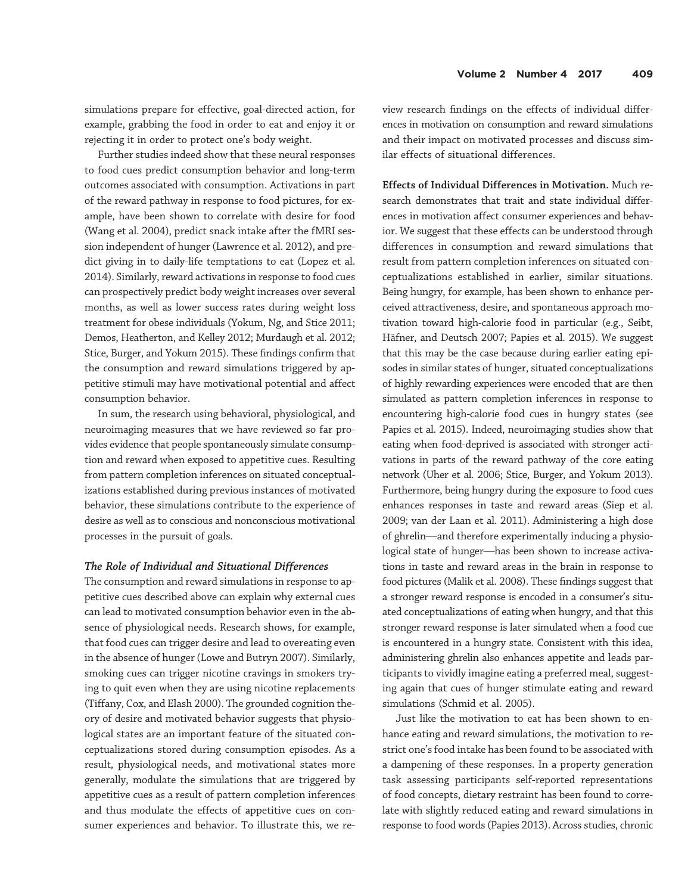simulations prepare for effective, goal-directed action, for example, grabbing the food in order to eat and enjoy it or rejecting it in order to protect one's body weight.

Further studies indeed show that these neural responses to food cues predict consumption behavior and long-term outcomes associated with consumption. Activations in part of the reward pathway in response to food pictures, for example, have been shown to correlate with desire for food (Wang et al. 2004), predict snack intake after the fMRI session independent of hunger (Lawrence et al. 2012), and predict giving in to daily-life temptations to eat (Lopez et al. 2014). Similarly, reward activations in response to food cues can prospectively predict body weight increases over several months, as well as lower success rates during weight loss treatment for obese individuals (Yokum, Ng, and Stice 2011; Demos, Heatherton, and Kelley 2012; Murdaugh et al. 2012; Stice, Burger, and Yokum 2015). These findings confirm that the consumption and reward simulations triggered by appetitive stimuli may have motivational potential and affect consumption behavior.

In sum, the research using behavioral, physiological, and neuroimaging measures that we have reviewed so far provides evidence that people spontaneously simulate consumption and reward when exposed to appetitive cues. Resulting from pattern completion inferences on situated conceptualizations established during previous instances of motivated behavior, these simulations contribute to the experience of desire as well as to conscious and nonconscious motivational processes in the pursuit of goals.

#### The Role of Individual and Situational Differences

The consumption and reward simulations in response to appetitive cues described above can explain why external cues can lead to motivated consumption behavior even in the absence of physiological needs. Research shows, for example, that food cues can trigger desire and lead to overeating even in the absence of hunger (Lowe and Butryn 2007). Similarly, smoking cues can trigger nicotine cravings in smokers trying to quit even when they are using nicotine replacements (Tiffany, Cox, and Elash 2000). The grounded cognition theory of desire and motivated behavior suggests that physiological states are an important feature of the situated conceptualizations stored during consumption episodes. As a result, physiological needs, and motivational states more generally, modulate the simulations that are triggered by appetitive cues as a result of pattern completion inferences and thus modulate the effects of appetitive cues on consumer experiences and behavior. To illustrate this, we review research findings on the effects of individual differences in motivation on consumption and reward simulations and their impact on motivated processes and discuss similar effects of situational differences.

Effects of Individual Differences in Motivation. Much research demonstrates that trait and state individual differences in motivation affect consumer experiences and behavior. We suggest that these effects can be understood through differences in consumption and reward simulations that result from pattern completion inferences on situated conceptualizations established in earlier, similar situations. Being hungry, for example, has been shown to enhance perceived attractiveness, desire, and spontaneous approach motivation toward high-calorie food in particular (e.g., Seibt, Häfner, and Deutsch 2007; Papies et al. 2015). We suggest that this may be the case because during earlier eating episodes in similar states of hunger, situated conceptualizations of highly rewarding experiences were encoded that are then simulated as pattern completion inferences in response to encountering high-calorie food cues in hungry states (see Papies et al. 2015). Indeed, neuroimaging studies show that eating when food-deprived is associated with stronger activations in parts of the reward pathway of the core eating network (Uher et al. 2006; Stice, Burger, and Yokum 2013). Furthermore, being hungry during the exposure to food cues enhances responses in taste and reward areas (Siep et al. 2009; van der Laan et al. 2011). Administering a high dose of ghrelin—and therefore experimentally inducing a physiological state of hunger—has been shown to increase activations in taste and reward areas in the brain in response to food pictures (Malik et al. 2008). These findings suggest that a stronger reward response is encoded in a consumer's situated conceptualizations of eating when hungry, and that this stronger reward response is later simulated when a food cue is encountered in a hungry state. Consistent with this idea, administering ghrelin also enhances appetite and leads participants to vividly imagine eating a preferred meal, suggesting again that cues of hunger stimulate eating and reward simulations (Schmid et al. 2005).

Just like the motivation to eat has been shown to enhance eating and reward simulations, the motivation to restrict one's food intake has been found to be associated with a dampening of these responses. In a property generation task assessing participants self-reported representations of food concepts, dietary restraint has been found to correlate with slightly reduced eating and reward simulations in response to food words (Papies 2013). Across studies, chronic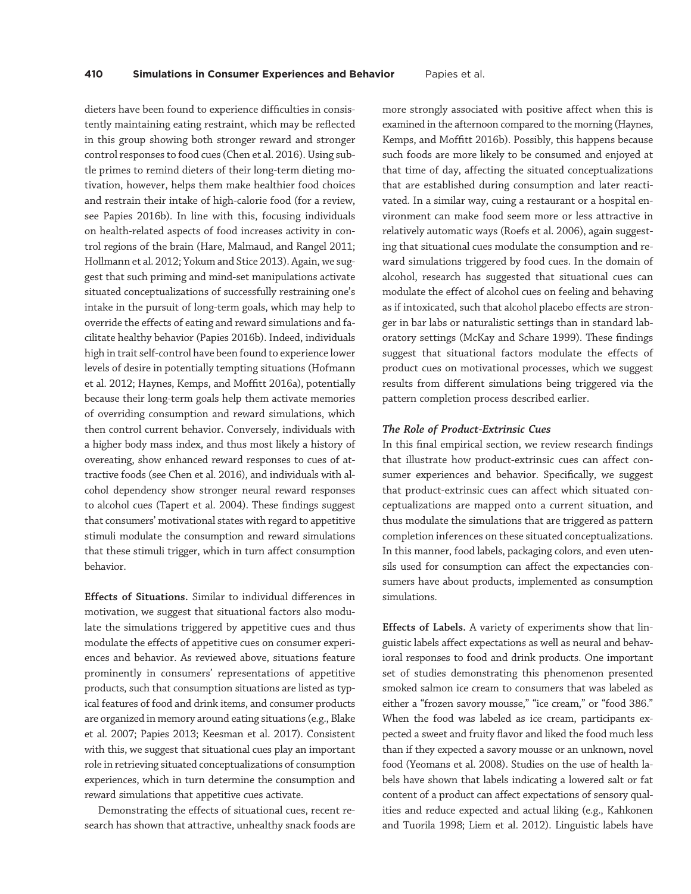dieters have been found to experience difficulties in consistently maintaining eating restraint, which may be reflected in this group showing both stronger reward and stronger control responses to food cues (Chen et al. 2016). Using subtle primes to remind dieters of their long-term dieting motivation, however, helps them make healthier food choices and restrain their intake of high-calorie food (for a review, see Papies 2016b). In line with this, focusing individuals on health-related aspects of food increases activity in control regions of the brain (Hare, Malmaud, and Rangel 2011; Hollmann et al. 2012; Yokum and Stice 2013). Again, we suggest that such priming and mind-set manipulations activate situated conceptualizations of successfully restraining one's intake in the pursuit of long-term goals, which may help to override the effects of eating and reward simulations and facilitate healthy behavior (Papies 2016b). Indeed, individuals high in trait self-control have been found to experience lower levels of desire in potentially tempting situations (Hofmann et al. 2012; Haynes, Kemps, and Moffitt 2016a), potentially because their long-term goals help them activate memories of overriding consumption and reward simulations, which then control current behavior. Conversely, individuals with a higher body mass index, and thus most likely a history of overeating, show enhanced reward responses to cues of attractive foods (see Chen et al. 2016), and individuals with alcohol dependency show stronger neural reward responses to alcohol cues (Tapert et al. 2004). These findings suggest that consumers' motivational states with regard to appetitive stimuli modulate the consumption and reward simulations that these stimuli trigger, which in turn affect consumption behavior.

Effects of Situations. Similar to individual differences in motivation, we suggest that situational factors also modulate the simulations triggered by appetitive cues and thus modulate the effects of appetitive cues on consumer experiences and behavior. As reviewed above, situations feature prominently in consumers' representations of appetitive products, such that consumption situations are listed as typical features of food and drink items, and consumer products are organized in memory around eating situations (e.g., Blake et al. 2007; Papies 2013; Keesman et al. 2017). Consistent with this, we suggest that situational cues play an important role in retrieving situated conceptualizations of consumption experiences, which in turn determine the consumption and reward simulations that appetitive cues activate.

Demonstrating the effects of situational cues, recent research has shown that attractive, unhealthy snack foods are more strongly associated with positive affect when this is examined in the afternoon compared to the morning (Haynes, Kemps, and Moffitt 2016b). Possibly, this happens because such foods are more likely to be consumed and enjoyed at that time of day, affecting the situated conceptualizations that are established during consumption and later reactivated. In a similar way, cuing a restaurant or a hospital environment can make food seem more or less attractive in relatively automatic ways (Roefs et al. 2006), again suggesting that situational cues modulate the consumption and reward simulations triggered by food cues. In the domain of alcohol, research has suggested that situational cues can modulate the effect of alcohol cues on feeling and behaving as if intoxicated, such that alcohol placebo effects are stronger in bar labs or naturalistic settings than in standard laboratory settings (McKay and Schare 1999). These findings suggest that situational factors modulate the effects of product cues on motivational processes, which we suggest results from different simulations being triggered via the pattern completion process described earlier.

#### The Role of Product-Extrinsic Cues

In this final empirical section, we review research findings that illustrate how product-extrinsic cues can affect consumer experiences and behavior. Specifically, we suggest that product-extrinsic cues can affect which situated conceptualizations are mapped onto a current situation, and thus modulate the simulations that are triggered as pattern completion inferences on these situated conceptualizations. In this manner, food labels, packaging colors, and even utensils used for consumption can affect the expectancies consumers have about products, implemented as consumption simulations.

Effects of Labels. A variety of experiments show that linguistic labels affect expectations as well as neural and behavioral responses to food and drink products. One important set of studies demonstrating this phenomenon presented smoked salmon ice cream to consumers that was labeled as either a "frozen savory mousse," "ice cream," or "food 386." When the food was labeled as ice cream, participants expected a sweet and fruity flavor and liked the food much less than if they expected a savory mousse or an unknown, novel food (Yeomans et al. 2008). Studies on the use of health labels have shown that labels indicating a lowered salt or fat content of a product can affect expectations of sensory qualities and reduce expected and actual liking (e.g., Kahkonen and Tuorila 1998; Liem et al. 2012). Linguistic labels have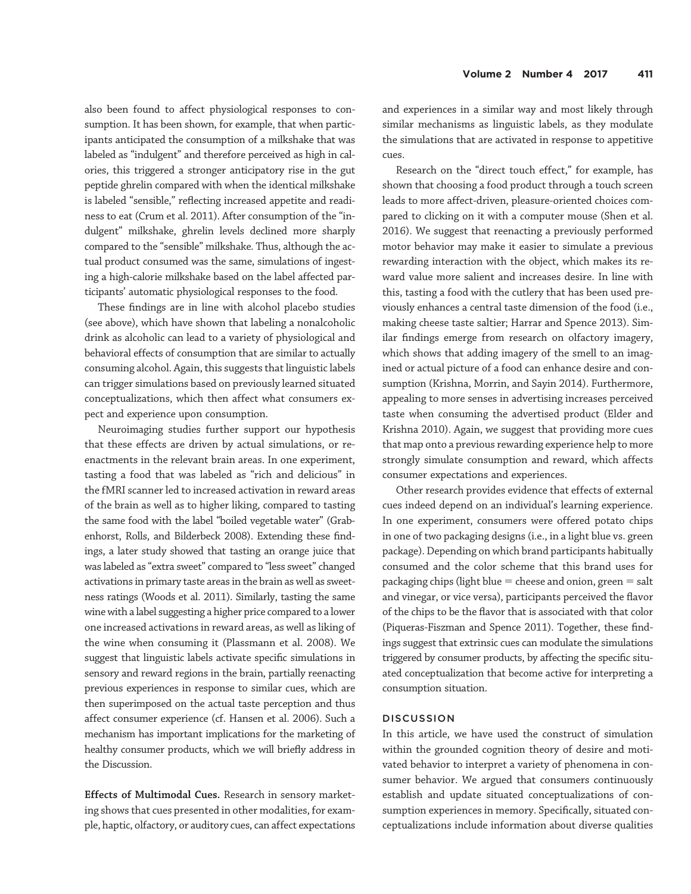also been found to affect physiological responses to consumption. It has been shown, for example, that when participants anticipated the consumption of a milkshake that was labeled as "indulgent" and therefore perceived as high in calories, this triggered a stronger anticipatory rise in the gut peptide ghrelin compared with when the identical milkshake is labeled "sensible," reflecting increased appetite and readiness to eat (Crum et al. 2011). After consumption of the "indulgent" milkshake, ghrelin levels declined more sharply compared to the "sensible" milkshake. Thus, although the actual product consumed was the same, simulations of ingesting a high-calorie milkshake based on the label affected participants' automatic physiological responses to the food.

These findings are in line with alcohol placebo studies (see above), which have shown that labeling a nonalcoholic drink as alcoholic can lead to a variety of physiological and behavioral effects of consumption that are similar to actually consuming alcohol. Again, this suggests that linguistic labels can trigger simulations based on previously learned situated conceptualizations, which then affect what consumers expect and experience upon consumption.

Neuroimaging studies further support our hypothesis that these effects are driven by actual simulations, or reenactments in the relevant brain areas. In one experiment, tasting a food that was labeled as "rich and delicious" in the fMRI scanner led to increased activation in reward areas of the brain as well as to higher liking, compared to tasting the same food with the label "boiled vegetable water" (Grabenhorst, Rolls, and Bilderbeck 2008). Extending these findings, a later study showed that tasting an orange juice that was labeled as "extra sweet" compared to "less sweet" changed activations in primary taste areas in the brain as well as sweetness ratings (Woods et al. 2011). Similarly, tasting the same wine with a label suggesting a higher price compared to a lower one increased activations in reward areas, as well as liking of the wine when consuming it (Plassmann et al. 2008). We suggest that linguistic labels activate specific simulations in sensory and reward regions in the brain, partially reenacting previous experiences in response to similar cues, which are then superimposed on the actual taste perception and thus affect consumer experience (cf. Hansen et al. 2006). Such a mechanism has important implications for the marketing of healthy consumer products, which we will briefly address in the Discussion.

Effects of Multimodal Cues. Research in sensory marketing shows that cues presented in other modalities, for example, haptic, olfactory, or auditory cues, can affect expectations and experiences in a similar way and most likely through similar mechanisms as linguistic labels, as they modulate the simulations that are activated in response to appetitive cues.

Research on the "direct touch effect," for example, has shown that choosing a food product through a touch screen leads to more affect-driven, pleasure-oriented choices compared to clicking on it with a computer mouse (Shen et al. 2016). We suggest that reenacting a previously performed motor behavior may make it easier to simulate a previous rewarding interaction with the object, which makes its reward value more salient and increases desire. In line with this, tasting a food with the cutlery that has been used previously enhances a central taste dimension of the food (i.e., making cheese taste saltier; Harrar and Spence 2013). Similar findings emerge from research on olfactory imagery, which shows that adding imagery of the smell to an imagined or actual picture of a food can enhance desire and consumption (Krishna, Morrin, and Sayin 2014). Furthermore, appealing to more senses in advertising increases perceived taste when consuming the advertised product (Elder and Krishna 2010). Again, we suggest that providing more cues that map onto a previous rewarding experience help to more strongly simulate consumption and reward, which affects consumer expectations and experiences.

Other research provides evidence that effects of external cues indeed depend on an individual's learning experience. In one experiment, consumers were offered potato chips in one of two packaging designs (i.e., in a light blue vs. green package). Depending on which brand participants habitually consumed and the color scheme that this brand uses for packaging chips (light blue  $=$  cheese and onion, green  $=$  salt and vinegar, or vice versa), participants perceived the flavor of the chips to be the flavor that is associated with that color (Piqueras-Fiszman and Spence 2011). Together, these findings suggest that extrinsic cues can modulate the simulations triggered by consumer products, by affecting the specific situated conceptualization that become active for interpreting a consumption situation.

### **DISCUSSION**

In this article, we have used the construct of simulation within the grounded cognition theory of desire and motivated behavior to interpret a variety of phenomena in consumer behavior. We argued that consumers continuously establish and update situated conceptualizations of consumption experiences in memory. Specifically, situated conceptualizations include information about diverse qualities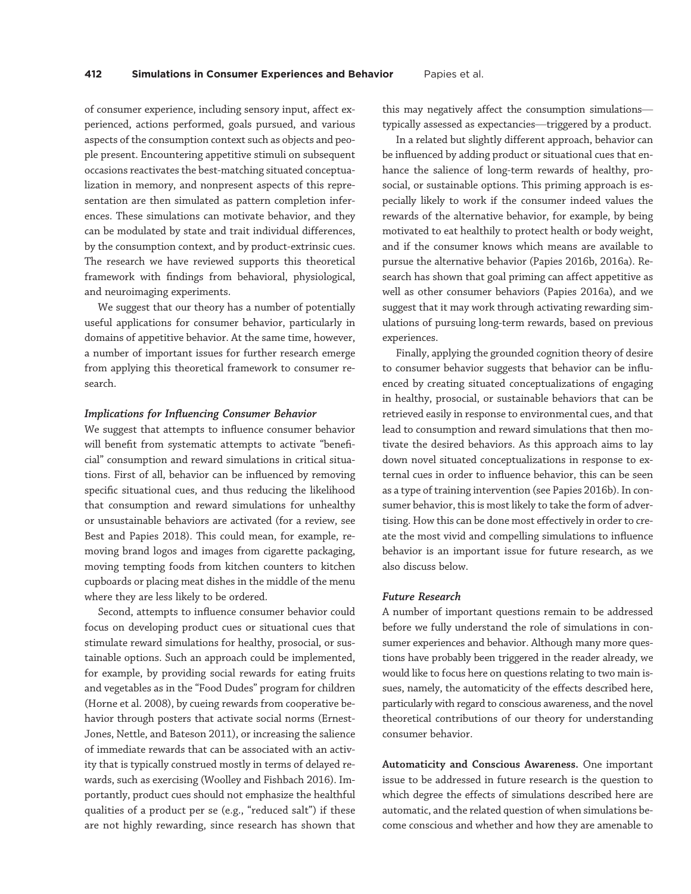of consumer experience, including sensory input, affect experienced, actions performed, goals pursued, and various aspects of the consumption context such as objects and people present. Encountering appetitive stimuli on subsequent occasions reactivates the best-matching situated conceptualization in memory, and nonpresent aspects of this representation are then simulated as pattern completion inferences. These simulations can motivate behavior, and they can be modulated by state and trait individual differences, by the consumption context, and by product-extrinsic cues. The research we have reviewed supports this theoretical framework with findings from behavioral, physiological, and neuroimaging experiments.

We suggest that our theory has a number of potentially useful applications for consumer behavior, particularly in domains of appetitive behavior. At the same time, however, a number of important issues for further research emerge from applying this theoretical framework to consumer research.

#### Implications for Influencing Consumer Behavior

We suggest that attempts to influence consumer behavior will benefit from systematic attempts to activate "beneficial" consumption and reward simulations in critical situations. First of all, behavior can be influenced by removing specific situational cues, and thus reducing the likelihood that consumption and reward simulations for unhealthy or unsustainable behaviors are activated (for a review, see Best and Papies 2018). This could mean, for example, removing brand logos and images from cigarette packaging, moving tempting foods from kitchen counters to kitchen cupboards or placing meat dishes in the middle of the menu where they are less likely to be ordered.

Second, attempts to influence consumer behavior could focus on developing product cues or situational cues that stimulate reward simulations for healthy, prosocial, or sustainable options. Such an approach could be implemented, for example, by providing social rewards for eating fruits and vegetables as in the "Food Dudes" program for children (Horne et al. 2008), by cueing rewards from cooperative behavior through posters that activate social norms (Ernest-Jones, Nettle, and Bateson 2011), or increasing the salience of immediate rewards that can be associated with an activity that is typically construed mostly in terms of delayed rewards, such as exercising (Woolley and Fishbach 2016). Importantly, product cues should not emphasize the healthful qualities of a product per se (e.g., "reduced salt") if these are not highly rewarding, since research has shown that this may negatively affect the consumption simulations typically assessed as expectancies—triggered by a product.

In a related but slightly different approach, behavior can be influenced by adding product or situational cues that enhance the salience of long-term rewards of healthy, prosocial, or sustainable options. This priming approach is especially likely to work if the consumer indeed values the rewards of the alternative behavior, for example, by being motivated to eat healthily to protect health or body weight, and if the consumer knows which means are available to pursue the alternative behavior (Papies 2016b, 2016a). Research has shown that goal priming can affect appetitive as well as other consumer behaviors (Papies 2016a), and we suggest that it may work through activating rewarding simulations of pursuing long-term rewards, based on previous experiences.

Finally, applying the grounded cognition theory of desire to consumer behavior suggests that behavior can be influenced by creating situated conceptualizations of engaging in healthy, prosocial, or sustainable behaviors that can be retrieved easily in response to environmental cues, and that lead to consumption and reward simulations that then motivate the desired behaviors. As this approach aims to lay down novel situated conceptualizations in response to external cues in order to influence behavior, this can be seen as a type of training intervention (see Papies 2016b). In consumer behavior, this is most likely to take the form of advertising. How this can be done most effectively in order to create the most vivid and compelling simulations to influence behavior is an important issue for future research, as we also discuss below.

### Future Research

A number of important questions remain to be addressed before we fully understand the role of simulations in consumer experiences and behavior. Although many more questions have probably been triggered in the reader already, we would like to focus here on questions relating to two main issues, namely, the automaticity of the effects described here, particularly with regard to conscious awareness, and the novel theoretical contributions of our theory for understanding consumer behavior.

Automaticity and Conscious Awareness. One important issue to be addressed in future research is the question to which degree the effects of simulations described here are automatic, and the related question of when simulations become conscious and whether and how they are amenable to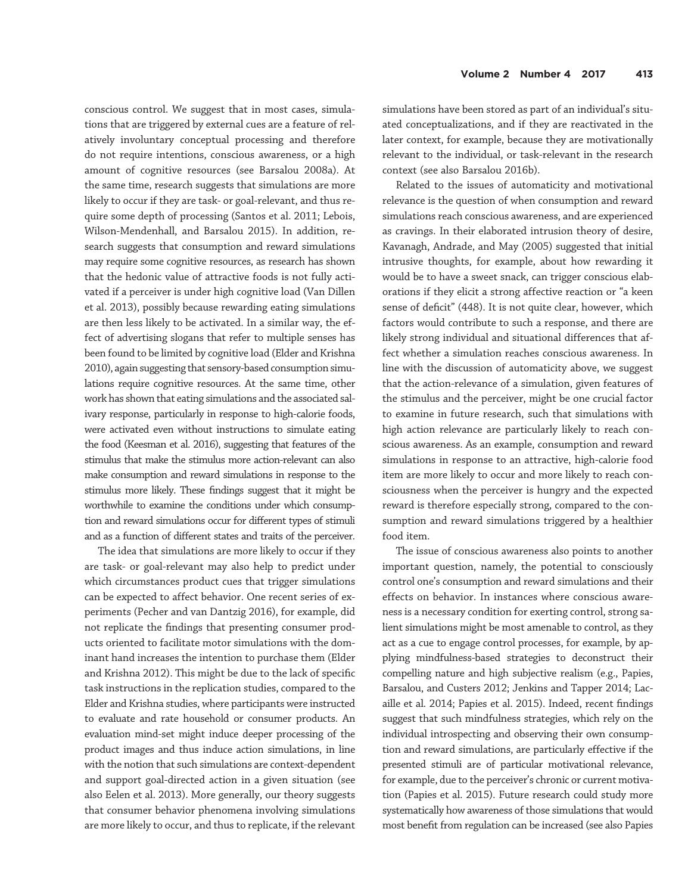conscious control. We suggest that in most cases, simulations that are triggered by external cues are a feature of relatively involuntary conceptual processing and therefore do not require intentions, conscious awareness, or a high amount of cognitive resources (see Barsalou 2008a). At the same time, research suggests that simulations are more likely to occur if they are task- or goal-relevant, and thus require some depth of processing (Santos et al. 2011; Lebois, Wilson-Mendenhall, and Barsalou 2015). In addition, research suggests that consumption and reward simulations may require some cognitive resources, as research has shown that the hedonic value of attractive foods is not fully activated if a perceiver is under high cognitive load (Van Dillen et al. 2013), possibly because rewarding eating simulations are then less likely to be activated. In a similar way, the effect of advertising slogans that refer to multiple senses has been found to be limited by cognitive load (Elder and Krishna 2010), again suggesting that sensory-based consumption simulations require cognitive resources. At the same time, other work has shown that eating simulations and the associated salivary response, particularly in response to high-calorie foods, were activated even without instructions to simulate eating the food (Keesman et al. 2016), suggesting that features of the stimulus that make the stimulus more action-relevant can also make consumption and reward simulations in response to the stimulus more likely. These findings suggest that it might be worthwhile to examine the conditions under which consumption and reward simulations occur for different types of stimuli and as a function of different states and traits of the perceiver.

The idea that simulations are more likely to occur if they are task- or goal-relevant may also help to predict under which circumstances product cues that trigger simulations can be expected to affect behavior. One recent series of experiments (Pecher and van Dantzig 2016), for example, did not replicate the findings that presenting consumer products oriented to facilitate motor simulations with the dominant hand increases the intention to purchase them (Elder and Krishna 2012). This might be due to the lack of specific task instructions in the replication studies, compared to the Elder and Krishna studies, where participants were instructed to evaluate and rate household or consumer products. An evaluation mind-set might induce deeper processing of the product images and thus induce action simulations, in line with the notion that such simulations are context-dependent and support goal-directed action in a given situation (see also Eelen et al. 2013). More generally, our theory suggests that consumer behavior phenomena involving simulations are more likely to occur, and thus to replicate, if the relevant

simulations have been stored as part of an individual's situated conceptualizations, and if they are reactivated in the later context, for example, because they are motivationally relevant to the individual, or task-relevant in the research context (see also Barsalou 2016b).

Related to the issues of automaticity and motivational relevance is the question of when consumption and reward simulations reach conscious awareness, and are experienced as cravings. In their elaborated intrusion theory of desire, Kavanagh, Andrade, and May (2005) suggested that initial intrusive thoughts, for example, about how rewarding it would be to have a sweet snack, can trigger conscious elaborations if they elicit a strong affective reaction or "a keen sense of deficit" (448). It is not quite clear, however, which factors would contribute to such a response, and there are likely strong individual and situational differences that affect whether a simulation reaches conscious awareness. In line with the discussion of automaticity above, we suggest that the action-relevance of a simulation, given features of the stimulus and the perceiver, might be one crucial factor to examine in future research, such that simulations with high action relevance are particularly likely to reach conscious awareness. As an example, consumption and reward simulations in response to an attractive, high-calorie food item are more likely to occur and more likely to reach consciousness when the perceiver is hungry and the expected reward is therefore especially strong, compared to the consumption and reward simulations triggered by a healthier food item.

The issue of conscious awareness also points to another important question, namely, the potential to consciously control one's consumption and reward simulations and their effects on behavior. In instances where conscious awareness is a necessary condition for exerting control, strong salient simulations might be most amenable to control, as they act as a cue to engage control processes, for example, by applying mindfulness-based strategies to deconstruct their compelling nature and high subjective realism (e.g., Papies, Barsalou, and Custers 2012; Jenkins and Tapper 2014; Lacaille et al. 2014; Papies et al. 2015). Indeed, recent findings suggest that such mindfulness strategies, which rely on the individual introspecting and observing their own consumption and reward simulations, are particularly effective if the presented stimuli are of particular motivational relevance, for example, due to the perceiver's chronic or current motivation (Papies et al. 2015). Future research could study more systematically how awareness of those simulations that would most benefit from regulation can be increased (see also Papies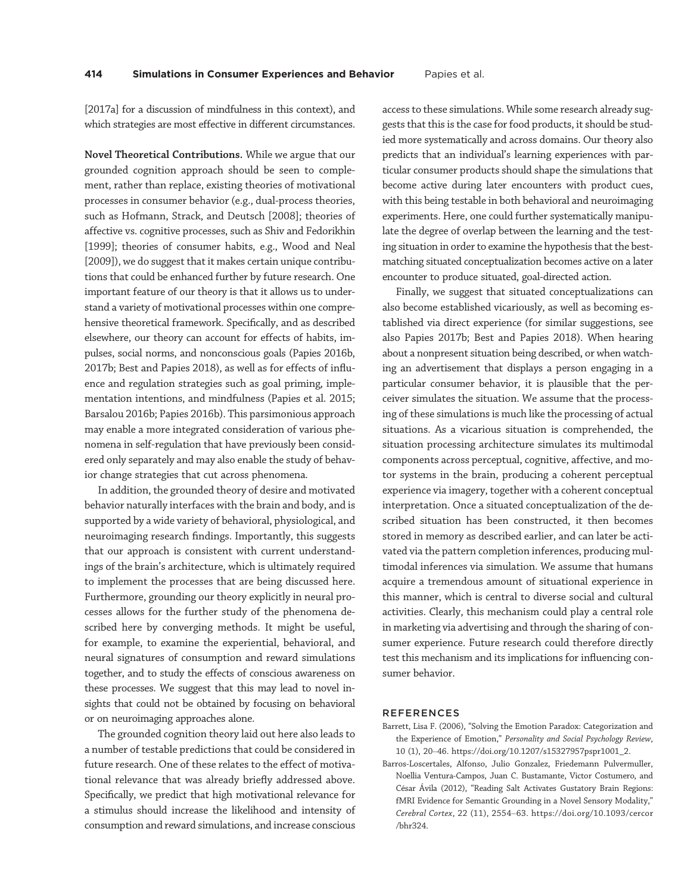[2017a] for a discussion of mindfulness in this context), and which strategies are most effective in different circumstances.

Novel Theoretical Contributions. While we argue that our grounded cognition approach should be seen to complement, rather than replace, existing theories of motivational processes in consumer behavior (e.g., dual-process theories, such as Hofmann, Strack, and Deutsch [2008]; theories of affective vs. cognitive processes, such as Shiv and Fedorikhin [1999]; theories of consumer habits, e.g., Wood and Neal [2009]), we do suggest that it makes certain unique contributions that could be enhanced further by future research. One important feature of our theory is that it allows us to understand a variety of motivational processes within one comprehensive theoretical framework. Specifically, and as described elsewhere, our theory can account for effects of habits, impulses, social norms, and nonconscious goals (Papies 2016b, 2017b; Best and Papies 2018), as well as for effects of influence and regulation strategies such as goal priming, implementation intentions, and mindfulness (Papies et al. 2015; Barsalou 2016b; Papies 2016b). This parsimonious approach may enable a more integrated consideration of various phenomena in self-regulation that have previously been considered only separately and may also enable the study of behavior change strategies that cut across phenomena.

In addition, the grounded theory of desire and motivated behavior naturally interfaces with the brain and body, and is supported by a wide variety of behavioral, physiological, and neuroimaging research findings. Importantly, this suggests that our approach is consistent with current understandings of the brain's architecture, which is ultimately required to implement the processes that are being discussed here. Furthermore, grounding our theory explicitly in neural processes allows for the further study of the phenomena described here by converging methods. It might be useful, for example, to examine the experiential, behavioral, and neural signatures of consumption and reward simulations together, and to study the effects of conscious awareness on these processes. We suggest that this may lead to novel insights that could not be obtained by focusing on behavioral or on neuroimaging approaches alone.

The grounded cognition theory laid out here also leads to a number of testable predictions that could be considered in future research. One of these relates to the effect of motivational relevance that was already briefly addressed above. Specifically, we predict that high motivational relevance for a stimulus should increase the likelihood and intensity of consumption and reward simulations, and increase conscious

access to these simulations. While some research already suggests that this is the case for food products, it should be studied more systematically and across domains. Our theory also predicts that an individual's learning experiences with particular consumer products should shape the simulations that become active during later encounters with product cues, with this being testable in both behavioral and neuroimaging experiments. Here, one could further systematically manipulate the degree of overlap between the learning and the testing situation in order to examine the hypothesis that the bestmatching situated conceptualization becomes active on a later encounter to produce situated, goal-directed action.

Finally, we suggest that situated conceptualizations can also become established vicariously, as well as becoming established via direct experience (for similar suggestions, see also Papies 2017b; Best and Papies 2018). When hearing about a nonpresent situation being described, or when watching an advertisement that displays a person engaging in a particular consumer behavior, it is plausible that the perceiver simulates the situation. We assume that the processing of these simulations is much like the processing of actual situations. As a vicarious situation is comprehended, the situation processing architecture simulates its multimodal components across perceptual, cognitive, affective, and motor systems in the brain, producing a coherent perceptual experience via imagery, together with a coherent conceptual interpretation. Once a situated conceptualization of the described situation has been constructed, it then becomes stored in memory as described earlier, and can later be activated via the pattern completion inferences, producing multimodal inferences via simulation. We assume that humans acquire a tremendous amount of situational experience in this manner, which is central to diverse social and cultural activities. Clearly, this mechanism could play a central role in marketing via advertising and through the sharing of consumer experience. Future research could therefore directly test this mechanism and its implications for influencing consumer behavior.

#### **REFERENCES**

- Barrett, Lisa F. (2006), "Solving the Emotion Paradox: Categorization and the Experience of Emotion," Personality and Social Psychology Review, 10 (1), 20–46. https://doi.org/10.1207/s15327957pspr1001\_2.
- Barros-Loscertales, Alfonso, Julio Gonzalez, Friedemann Pulvermuller, Noellia Ventura-Campos, Juan C. Bustamante, Victor Costumero, and César Ávila (2012), "Reading Salt Activates Gustatory Brain Regions: fMRI Evidence for Semantic Grounding in a Novel Sensory Modality," Cerebral Cortex, 22 (11), 2554–63. https://doi.org/10.1093/cercor /bhr324.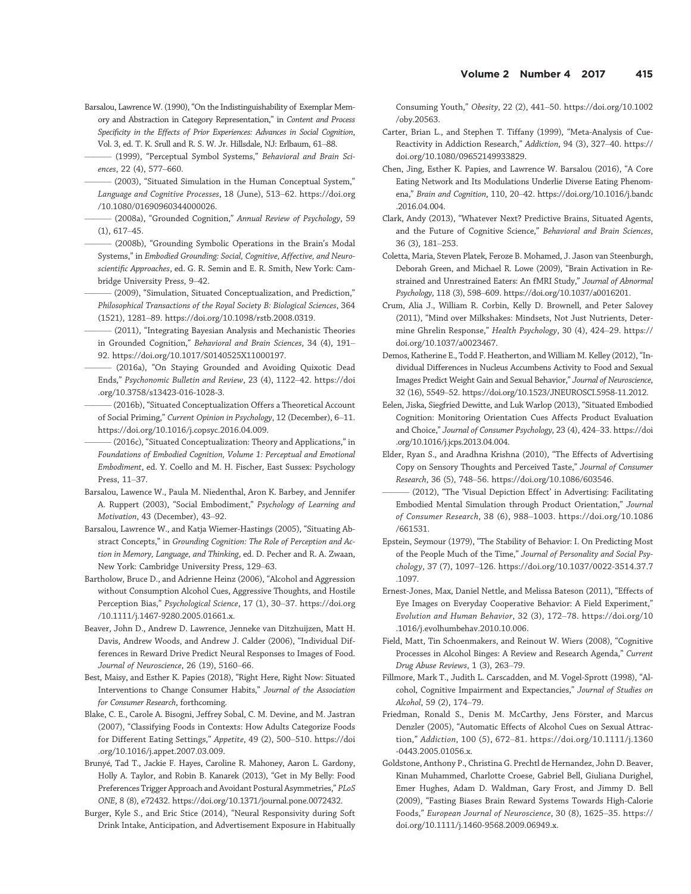- Barsalou, Lawrence W. (1990), "On the Indistinguishability of Exemplar Memory and Abstraction in Category Representation," in Content and Process Specificity in the Effects of Prior Experiences: Advances in Social Cognition, Vol. 3, ed. T. K. Srull and R. S. W. Jr. Hillsdale, NJ: Erlbaum, 61–88.
- $-$  (1999), "Perceptual Symbol Systems," Behavioral and Brain Sciences, 22 (4), 577–660.
- ——— (2003), "Situated Simulation in the Human Conceptual System," Language and Cognitive Processes, 18 (June), 513–62. https://doi.org /10.1080/01690960344000026.
- (2008a), "Grounded Cognition," Annual Review of Psychology, 59 (1), 617–45.
- (2008b), "Grounding Symbolic Operations in the Brain's Modal Systems," in Embodied Grounding: Social, Cognitive, Affective, and Neuroscientific Approaches, ed. G. R. Semin and E. R. Smith, New York: Cambridge University Press, 9–42.
- (2009), "Simulation, Situated Conceptualization, and Prediction," Philosophical Transactions of the Royal Society B: Biological Sciences, 364 (1521), 1281–89. https://doi.org/10.1098/rstb.2008.0319.
- (2011), "Integrating Bayesian Analysis and Mechanistic Theories in Grounded Cognition," Behavioral and Brain Sciences, 34 (4), 191– 92. https://doi.org/10.1017/S0140525X11000197.
- (2016a), "On Staying Grounded and Avoiding Quixotic Dead Ends," Psychonomic Bulletin and Review, 23 (4), 1122–42. https://doi .org/10.3758/s13423-016-1028-3.
- (2016b), "Situated Conceptualization Offers a Theoretical Account of Social Priming," Current Opinion in Psychology, 12 (December), 6–11. https://doi.org/10.1016/j.copsyc.2016.04.009.
- ——— (2016c), "Situated Conceptualization: Theory and Applications," in Foundations of Embodied Cognition, Volume 1: Perceptual and Emotional Embodiment, ed. Y. Coello and M. H. Fischer, East Sussex: Psychology Press, 11–37.
- Barsalou, Lawence W., Paula M. Niedenthal, Aron K. Barbey, and Jennifer A. Ruppert (2003), "Social Embodiment," Psychology of Learning and Motivation, 43 (December), 43–92.
- Barsalou, Lawrence W., and Katja Wiemer-Hastings (2005), "Situating Abstract Concepts," in Grounding Cognition: The Role of Perception and Action in Memory, Language, and Thinking, ed. D. Pecher and R. A. Zwaan, New York: Cambridge University Press, 129–63.
- Bartholow, Bruce D., and Adrienne Heinz (2006), "Alcohol and Aggression without Consumption Alcohol Cues, Aggressive Thoughts, and Hostile Perception Bias," Psychological Science, 17 (1), 30–37. https://doi.org /10.1111/j.1467-9280.2005.01661.x.
- Beaver, John D., Andrew D. Lawrence, Jenneke van Ditzhuijzen, Matt H. Davis, Andrew Woods, and Andrew J. Calder (2006), "Individual Differences in Reward Drive Predict Neural Responses to Images of Food. Journal of Neuroscience, 26 (19), 5160–66.
- Best, Maisy, and Esther K. Papies (2018), "Right Here, Right Now: Situated Interventions to Change Consumer Habits," Journal of the Association for Consumer Research, forthcoming.
- Blake, C. E., Carole A. Bisogni, Jeffrey Sobal, C. M. Devine, and M. Jastran (2007), "Classifying Foods in Contexts: How Adults Categorize Foods for Different Eating Settings," Appetite, 49 (2), 500–510. https://doi .org/10.1016/j.appet.2007.03.009.
- Brunyé, Tad T., Jackie F. Hayes, Caroline R. Mahoney, Aaron L. Gardony, Holly A. Taylor, and Robin B. Kanarek (2013), "Get in My Belly: Food Preferences Trigger Approach and Avoidant Postural Asymmetries," PLoS ONE, 8 (8), e72432. https://doi.org/10.1371/journal.pone.0072432.
- Burger, Kyle S., and Eric Stice (2014), "Neural Responsivity during Soft Drink Intake, Anticipation, and Advertisement Exposure in Habitually

Consuming Youth," Obesity, 22 (2), 441–50. https://doi.org/10.1002 /oby.20563.

- Carter, Brian L., and Stephen T. Tiffany (1999), "Meta-Analysis of Cue-Reactivity in Addiction Research," Addiction, 94 (3), 327–40. https:// doi.org/10.1080/09652149933829.
- Chen, Jing, Esther K. Papies, and Lawrence W. Barsalou (2016), "A Core Eating Network and Its Modulations Underlie Diverse Eating Phenomena," Brain and Cognition, 110, 20–42. https://doi.org/10.1016/j.bandc .2016.04.004.
- Clark, Andy (2013), "Whatever Next? Predictive Brains, Situated Agents, and the Future of Cognitive Science," Behavioral and Brain Sciences, 36 (3), 181–253.
- Coletta, Maria, Steven Platek, Feroze B. Mohamed, J. Jason van Steenburgh, Deborah Green, and Michael R. Lowe (2009), "Brain Activation in Restrained and Unrestrained Eaters: An fMRI Study," Journal of Abnormal Psychology, 118 (3), 598–609. https://doi.org/10.1037/a0016201.
- Crum, Alia J., William R. Corbin, Kelly D. Brownell, and Peter Salovey (2011), "Mind over Milkshakes: Mindsets, Not Just Nutrients, Determine Ghrelin Response," Health Psychology, 30 (4), 424–29. https:// doi.org/10.1037/a0023467.
- Demos, Katherine E., Todd F. Heatherton, and William M. Kelley (2012), "Individual Differences in Nucleus Accumbens Activity to Food and Sexual Images Predict Weight Gain and Sexual Behavior," Journal of Neuroscience, 32 (16), 5549–52. https://doi.org/10.1523/JNEUROSCI.5958-11.2012.
- Eelen, Jiska, Siegfried Dewitte, and Luk Warlop (2013), "Situated Embodied Cognition: Monitoring Orientation Cues Affects Product Evaluation and Choice," Journal of Consumer Psychology, 23 (4), 424–33. https://doi .org/10.1016/j.jcps.2013.04.004.
- Elder, Ryan S., and Aradhna Krishna (2010), "The Effects of Advertising Copy on Sensory Thoughts and Perceived Taste," Journal of Consumer Research, 36 (5), 748–56. https://doi.org/10.1086/603546.
- (2012), "The 'Visual Depiction Effect' in Advertising: Facilitating Embodied Mental Simulation through Product Orientation," Journal of Consumer Research, 38 (6), 988–1003. https://doi.org/10.1086 /661531.
- Epstein, Seymour (1979), "The Stability of Behavior: I. On Predicting Most of the People Much of the Time," Journal of Personality and Social Psychology, 37 (7), 1097–126. https://doi.org/10.1037/0022-3514.37.7 .1097.
- Ernest-Jones, Max, Daniel Nettle, and Melissa Bateson (2011), "Effects of Eye Images on Everyday Cooperative Behavior: A Field Experiment," Evolution and Human Behavior, 32 (3), 172–78. https://doi.org/10 .1016/j.evolhumbehav.2010.10.006.
- Field, Matt, Tin Schoenmakers, and Reinout W. Wiers (2008), "Cognitive Processes in Alcohol Binges: A Review and Research Agenda," Current Drug Abuse Reviews, 1 (3), 263–79.
- Fillmore, Mark T., Judith L. Carscadden, and M. Vogel-Sprott (1998), "Alcohol, Cognitive Impairment and Expectancies," Journal of Studies on Alcohol, 59 (2), 174–79.
- Friedman, Ronald S., Denis M. McCarthy, Jens Förster, and Marcus Denzler (2005), "Automatic Effects of Alcohol Cues on Sexual Attraction," Addiction, 100 (5), 672–81. https://doi.org/10.1111/j.1360 -0443.2005.01056.x.
- Goldstone, Anthony P., Christina G. Prechtl de Hernandez, John D. Beaver, Kinan Muhammed, Charlotte Croese, Gabriel Bell, Giuliana Durighel, Emer Hughes, Adam D. Waldman, Gary Frost, and Jimmy D. Bell (2009), "Fasting Biases Brain Reward Systems Towards High-Calorie Foods," European Journal of Neuroscience, 30 (8), 1625–35. https:// doi.org/10.1111/j.1460-9568.2009.06949.x.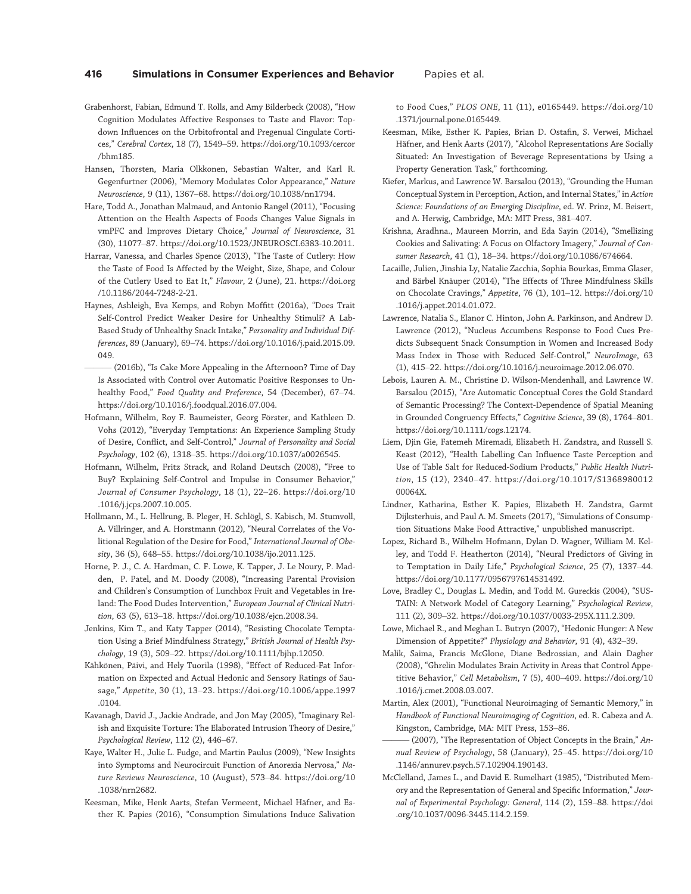Grabenhorst, Fabian, Edmund T. Rolls, and Amy Bilderbeck (2008), "How Cognition Modulates Affective Responses to Taste and Flavor: Topdown Influences on the Orbitofrontal and Pregenual Cingulate Cortices," Cerebral Cortex, 18 (7), 1549–59. https://doi.org/10.1093/cercor /bhm185.

Hansen, Thorsten, Maria Olkkonen, Sebastian Walter, and Karl R. Gegenfurtner (2006), "Memory Modulates Color Appearance," Nature Neuroscience, 9 (11), 1367–68. https://doi.org/10.1038/nn1794.

- Hare, Todd A., Jonathan Malmaud, and Antonio Rangel (2011), "Focusing Attention on the Health Aspects of Foods Changes Value Signals in vmPFC and Improves Dietary Choice," Journal of Neuroscience, 31 (30), 11077–87. https://doi.org/10.1523/JNEUROSCI.6383-10.2011.
- Harrar, Vanessa, and Charles Spence (2013), "The Taste of Cutlery: How the Taste of Food Is Affected by the Weight, Size, Shape, and Colour of the Cutlery Used to Eat It," Flavour, 2 (June), 21. https://doi.org /10.1186/2044-7248-2-21.
- Haynes, Ashleigh, Eva Kemps, and Robyn Moffitt (2016a), "Does Trait Self-Control Predict Weaker Desire for Unhealthy Stimuli? A Lab-Based Study of Unhealthy Snack Intake," Personality and Individual Differences, 89 (January), 69–74. https://doi.org/10.1016/j.paid.2015.09. 049.
- (2016b), "Is Cake More Appealing in the Afternoon? Time of Day Is Associated with Control over Automatic Positive Responses to Unhealthy Food," Food Quality and Preference, 54 (December), 67-74. https://doi.org/10.1016/j.foodqual.2016.07.004.
- Hofmann, Wilhelm, Roy F. Baumeister, Georg Förster, and Kathleen D. Vohs (2012), "Everyday Temptations: An Experience Sampling Study of Desire, Conflict, and Self-Control," Journal of Personality and Social Psychology, 102 (6), 1318–35. https://doi.org/10.1037/a0026545.
- Hofmann, Wilhelm, Fritz Strack, and Roland Deutsch (2008), "Free to Buy? Explaining Self-Control and Impulse in Consumer Behavior," Journal of Consumer Psychology, 18 (1), 22–26. https://doi.org/10 .1016/j.jcps.2007.10.005.
- Hollmann, M., L. Hellrung, B. Pleger, H. Schlögl, S. Kabisch, M. Stumvoll, A. Villringer, and A. Horstmann (2012), "Neural Correlates of the Volitional Regulation of the Desire for Food," International Journal of Obesity, 36 (5), 648–55. https://doi.org/10.1038/ijo.2011.125.
- Horne, P. J., C. A. Hardman, C. F. Lowe, K. Tapper, J. Le Noury, P. Madden, P. Patel, and M. Doody (2008), "Increasing Parental Provision and Children's Consumption of Lunchbox Fruit and Vegetables in Ireland: The Food Dudes Intervention," European Journal of Clinical Nutrition, 63 (5), 613–18. https://doi.org/10.1038/ejcn.2008.34.
- Jenkins, Kim T., and Katy Tapper (2014), "Resisting Chocolate Temptation Using a Brief Mindfulness Strategy," British Journal of Health Psychology, 19 (3), 509–22. https://doi.org/10.1111/bjhp.12050.
- Kähkönen, Päivi, and Hely Tuorila (1998), "Effect of Reduced-Fat Information on Expected and Actual Hedonic and Sensory Ratings of Sausage," Appetite, 30 (1), 13–23. https://doi.org/10.1006/appe.1997 .0104.
- Kavanagh, David J., Jackie Andrade, and Jon May (2005), "Imaginary Relish and Exquisite Torture: The Elaborated Intrusion Theory of Desire," Psychological Review, 112 (2), 446–67.
- Kaye, Walter H., Julie L. Fudge, and Martin Paulus (2009), "New Insights into Symptoms and Neurocircuit Function of Anorexia Nervosa," Nature Reviews Neuroscience, 10 (August), 573–84. https://doi.org/10 .1038/nrn2682.
- Keesman, Mike, Henk Aarts, Stefan Vermeent, Michael Häfner, and Esther K. Papies (2016), "Consumption Simulations Induce Salivation

to Food Cues," PLOS ONE, 11 (11), e0165449. https://doi.org/10 .1371/journal.pone.0165449.

- Keesman, Mike, Esther K. Papies, Brian D. Ostafin, S. Verwei, Michael Häfner, and Henk Aarts (2017), "Alcohol Representations Are Socially Situated: An Investigation of Beverage Representations by Using a Property Generation Task," forthcoming.
- Kiefer, Markus, and Lawrence W. Barsalou (2013), "Grounding the Human Conceptual System in Perception, Action, and Internal States,"in Action Science: Foundations of an Emerging Discipline, ed. W. Prinz, M. Beisert, and A. Herwig, Cambridge, MA: MIT Press, 381–407.
- Krishna, Aradhna., Maureen Morrin, and Eda Sayin (2014), "Smellizing Cookies and Salivating: A Focus on Olfactory Imagery," Journal of Consumer Research, 41 (1), 18–34. https://doi.org/10.1086/674664.
- Lacaille, Julien, Jinshia Ly, Natalie Zacchia, Sophia Bourkas, Emma Glaser, and Bärbel Knäuper (2014), "The Effects of Three Mindfulness Skills on Chocolate Cravings," Appetite, 76 (1), 101–12. https://doi.org/10 .1016/j.appet.2014.01.072.
- Lawrence, Natalia S., Elanor C. Hinton, John A. Parkinson, and Andrew D. Lawrence (2012), "Nucleus Accumbens Response to Food Cues Predicts Subsequent Snack Consumption in Women and Increased Body Mass Index in Those with Reduced Self-Control," NeuroImage, 63 (1), 415–22. https://doi.org/10.1016/j.neuroimage.2012.06.070.
- Lebois, Lauren A. M., Christine D. Wilson-Mendenhall, and Lawrence W. Barsalou (2015), "Are Automatic Conceptual Cores the Gold Standard of Semantic Processing? The Context-Dependence of Spatial Meaning in Grounded Congruency Effects," Cognitive Science, 39 (8), 1764-801. https://doi.org/10.1111/cogs.12174.
- Liem, Djin Gie, Fatemeh Miremadi, Elizabeth H. Zandstra, and Russell S. Keast (2012), "Health Labelling Can Influence Taste Perception and Use of Table Salt for Reduced-Sodium Products," Public Health Nutrition, 15 (12), 2340–47. https://doi.org/10.1017/S1368980012 00064X.
- Lindner, Katharina, Esther K. Papies, Elizabeth H. Zandstra, Garmt Dijksterhuis, and Paul A. M. Smeets (2017), "Simulations of Consumption Situations Make Food Attractive," unpublished manuscript.
- Lopez, Richard B., Wilhelm Hofmann, Dylan D. Wagner, William M. Kelley, and Todd F. Heatherton (2014), "Neural Predictors of Giving in to Temptation in Daily Life," Psychological Science, 25 (7), 1337–44. https://doi.org/10.1177/0956797614531492.
- Love, Bradley C., Douglas L. Medin, and Todd M. Gureckis (2004), "SUS-TAIN: A Network Model of Category Learning," Psychological Review, 111 (2), 309–32. https://doi.org/10.1037/0033-295X.111.2.309.
- Lowe, Michael R., and Meghan L. Butryn (2007), "Hedonic Hunger: A New Dimension of Appetite?" Physiology and Behavior, 91 (4), 432–39.
- Malik, Saima, Francis McGlone, Diane Bedrossian, and Alain Dagher (2008), "Ghrelin Modulates Brain Activity in Areas that Control Appetitive Behavior," Cell Metabolism, 7 (5), 400–409. https://doi.org/10 .1016/j.cmet.2008.03.007.
- Martin, Alex (2001), "Functional Neuroimaging of Semantic Memory," in Handbook of Functional Neuroimaging of Cognition, ed. R. Cabeza and A. Kingston, Cambridge, MA: MIT Press, 153–86.
- (2007), "The Representation of Object Concepts in the Brain," Annual Review of Psychology, 58 (January), 25–45. https://doi.org/10 .1146/annurev.psych.57.102904.190143.
- McClelland, James L., and David E. Rumelhart (1985), "Distributed Memory and the Representation of General and Specific Information," Journal of Experimental Psychology: General, 114 (2), 159–88. https://doi .org/10.1037/0096-3445.114.2.159.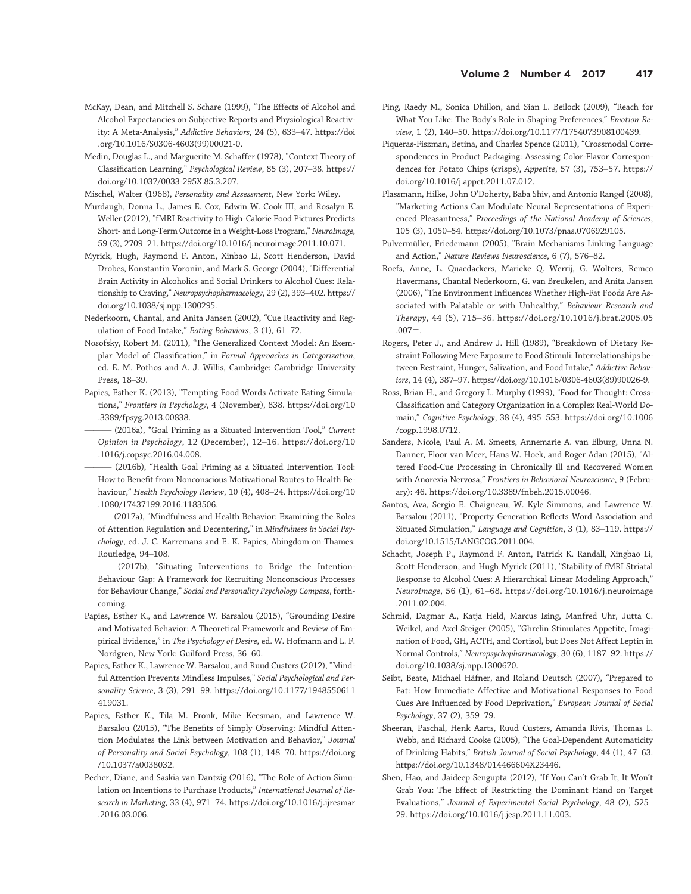- McKay, Dean, and Mitchell S. Schare (1999), "The Effects of Alcohol and Alcohol Expectancies on Subjective Reports and Physiological Reactivity: A Meta-Analysis," Addictive Behaviors, 24 (5), 633–47. https://doi .org/10.1016/S0306-4603(99)00021-0.
- Medin, Douglas L., and Marguerite M. Schaffer (1978), "Context Theory of Classification Learning," Psychological Review, 85 (3), 207–38. https:// doi.org/10.1037/0033-295X.85.3.207.

Mischel, Walter (1968), Personality and Assessment, New York: Wiley.

- Murdaugh, Donna L., James E. Cox, Edwin W. Cook III, and Rosalyn E. Weller (2012), "fMRI Reactivity to High-Calorie Food Pictures Predicts Short- and Long-Term Outcome in a Weight-Loss Program," NeuroImage, 59 (3), 2709–21. https://doi.org/10.1016/j.neuroimage.2011.10.071.
- Myrick, Hugh, Raymond F. Anton, Xinbao Li, Scott Henderson, David Drobes, Konstantin Voronin, and Mark S. George (2004), "Differential Brain Activity in Alcoholics and Social Drinkers to Alcohol Cues: Relationship to Craving," Neuropsychopharmacology, 29 (2), 393–402. https:// doi.org/10.1038/sj.npp.1300295.
- Nederkoorn, Chantal, and Anita Jansen (2002), "Cue Reactivity and Regulation of Food Intake," Eating Behaviors, 3 (1), 61–72.
- Nosofsky, Robert M. (2011), "The Generalized Context Model: An Exemplar Model of Classification," in Formal Approaches in Categorization, ed. E. M. Pothos and A. J. Willis, Cambridge: Cambridge University Press, 18–39.
- Papies, Esther K. (2013), "Tempting Food Words Activate Eating Simulations," Frontiers in Psychology, 4 (November), 838. https://doi.org/10 .3389/fpsyg.2013.00838.
- (2016a), "Goal Priming as a Situated Intervention Tool," Current Opinion in Psychology, 12 (December), 12–16. https://doi.org/10 .1016/j.copsyc.2016.04.008.
- (2016b), "Health Goal Priming as a Situated Intervention Tool: How to Benefit from Nonconscious Motivational Routes to Health Behaviour," Health Psychology Review, 10 (4), 408–24. https://doi.org/10 .1080/17437199.2016.1183506.
- (2017a), "Mindfulness and Health Behavior: Examining the Roles of Attention Regulation and Decentering," in Mindfulness in Social Psychology, ed. J. C. Karremans and E. K. Papies, Abingdom-on-Thames: Routledge, 94–108.
- (2017b), "Situating Interventions to Bridge the Intention-Behaviour Gap: A Framework for Recruiting Nonconscious Processes for Behaviour Change," Social and Personality Psychology Compass, forthcoming.
- Papies, Esther K., and Lawrence W. Barsalou (2015), "Grounding Desire and Motivated Behavior: A Theoretical Framework and Review of Empirical Evidence," in The Psychology of Desire, ed. W. Hofmann and L. F. Nordgren, New York: Guilford Press, 36–60.
- Papies, Esther K., Lawrence W. Barsalou, and Ruud Custers (2012), "Mindful Attention Prevents Mindless Impulses," Social Psychological and Personality Science, 3 (3), 291–99. https://doi.org/10.1177/1948550611 419031.
- Papies, Esther K., Tila M. Pronk, Mike Keesman, and Lawrence W. Barsalou (2015), "The Benefits of Simply Observing: Mindful Attention Modulates the Link between Motivation and Behavior," Journal of Personality and Social Psychology, 108 (1), 148–70. https://doi.org /10.1037/a0038032.
- Pecher, Diane, and Saskia van Dantzig (2016), "The Role of Action Simulation on Intentions to Purchase Products," International Journal of Research in Marketing, 33 (4), 971–74. https://doi.org/10.1016/j.ijresmar .2016.03.006.
- Ping, Raedy M., Sonica Dhillon, and Sian L. Beilock (2009), "Reach for What You Like: The Body's Role in Shaping Preferences," Emotion Review, 1 (2), 140–50. https://doi.org/10.1177/1754073908100439.
- Piqueras-Fiszman, Betina, and Charles Spence (2011), "Crossmodal Correspondences in Product Packaging: Assessing Color-Flavor Correspondences for Potato Chips (crisps), Appetite, 57 (3), 753–57. https:// doi.org/10.1016/j.appet.2011.07.012.
- Plassmann, Hilke, John O'Doherty, Baba Shiv, and Antonio Rangel (2008), "Marketing Actions Can Modulate Neural Representations of Experienced Pleasantness," Proceedings of the National Academy of Sciences, 105 (3), 1050–54. https://doi.org/10.1073/pnas.0706929105.
- Pulvermüller, Friedemann (2005), "Brain Mechanisms Linking Language and Action," Nature Reviews Neuroscience, 6 (7), 576–82.
- Roefs, Anne, L. Quaedackers, Marieke Q. Werrij, G. Wolters, Remco Havermans, Chantal Nederkoorn, G. van Breukelen, and Anita Jansen (2006), "The Environment Influences Whether High-Fat Foods Are Associated with Palatable or with Unhealthy," Behaviour Research and Therapy, 44 (5), 715–36. https://doi.org/10.1016/j.brat.2005.05  $.007 = .$
- Rogers, Peter J., and Andrew J. Hill (1989), "Breakdown of Dietary Restraint Following Mere Exposure to Food Stimuli: Interrelationships between Restraint, Hunger, Salivation, and Food Intake," Addictive Behaviors, 14 (4), 387–97. https://doi.org/10.1016/0306-4603(89)90026-9.
- Ross, Brian H., and Gregory L. Murphy (1999), "Food for Thought: Cross-Classification and Category Organization in a Complex Real-World Domain," Cognitive Psychology, 38 (4), 495–553. https://doi.org/10.1006 /cogp.1998.0712.
- Sanders, Nicole, Paul A. M. Smeets, Annemarie A. van Elburg, Unna N. Danner, Floor van Meer, Hans W. Hoek, and Roger Adan (2015), "Altered Food-Cue Processing in Chronically Ill and Recovered Women with Anorexia Nervosa," Frontiers in Behavioral Neuroscience, 9 (February): 46. https://doi.org/10.3389/fnbeh.2015.00046.
- Santos, Ava, Sergio E. Chaigneau, W. Kyle Simmons, and Lawrence W. Barsalou (2011), "Property Generation Reflects Word Association and Situated Simulation," Language and Cognition, 3 (1), 83–119. https:// doi.org/10.1515/LANGCOG.2011.004.
- Schacht, Joseph P., Raymond F. Anton, Patrick K. Randall, Xingbao Li, Scott Henderson, and Hugh Myrick (2011), "Stability of fMRI Striatal Response to Alcohol Cues: A Hierarchical Linear Modeling Approach," NeuroImage, 56 (1), 61–68. https://doi.org/10.1016/j.neuroimage .2011.02.004.
- Schmid, Dagmar A., Katja Held, Marcus Ising, Manfred Uhr, Jutta C. Weikel, and Axel Steiger (2005), "Ghrelin Stimulates Appetite, Imagination of Food, GH, ACTH, and Cortisol, but Does Not Affect Leptin in Normal Controls," Neuropsychopharmacology, 30 (6), 1187–92. https:// doi.org/10.1038/sj.npp.1300670.
- Seibt, Beate, Michael Häfner, and Roland Deutsch (2007), "Prepared to Eat: How Immediate Affective and Motivational Responses to Food Cues Are Influenced by Food Deprivation," European Journal of Social Psychology, 37 (2), 359–79.
- Sheeran, Paschal, Henk Aarts, Ruud Custers, Amanda Rivis, Thomas L. Webb, and Richard Cooke (2005), "The Goal-Dependent Automaticity of Drinking Habits," British Journal of Social Psychology, 44 (1), 47–63. https://doi.org/10.1348/014466604X23446.
- Shen, Hao, and Jaideep Sengupta (2012), "If You Can't Grab It, It Won't Grab You: The Effect of Restricting the Dominant Hand on Target Evaluations," Journal of Experimental Social Psychology, 48 (2), 525– 29. https://doi.org/10.1016/j.jesp.2011.11.003.